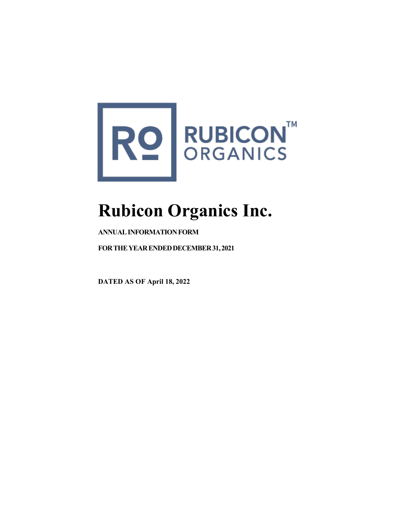

# **Rubicon Organics Inc.**

# **ANNUALINFORMATIONFORM**

**FORTHEYEARENDEDDECEMBER31,2021**

**DATED AS OF April 18, 2022**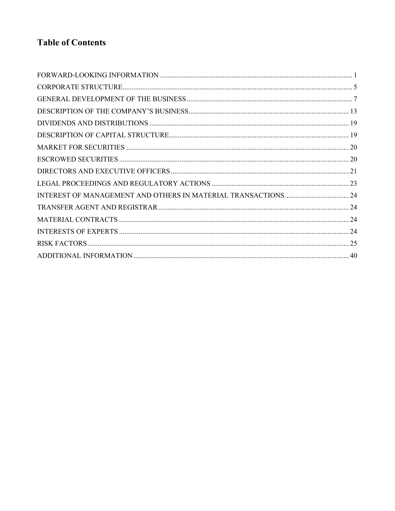# **Table of Contents**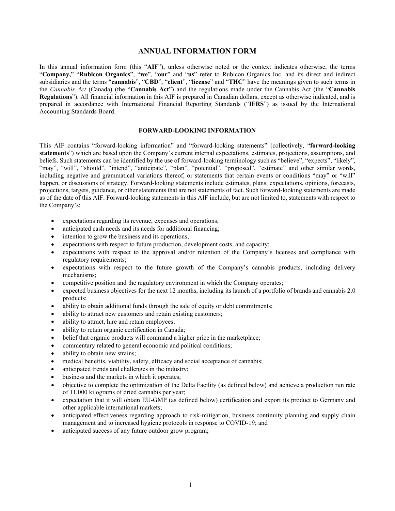# **ANNUAL INFORMATION FORM**

In this annual information form (this "**AIF**"), unless otherwise noted or the context indicates otherwise, the terms "**Company,**" "**Rubicon Organics**", "**we**", "**our**" and "**us**" refer to Rubicon Organics Inc. and its direct and indirect subsidiaries and the terms "**cannabis**", "**CBD**", "**client**", "**license**" and "**THC**" have the meanings given to such terms in the *Cannabis Act* (Canada) (the "**Cannabis Act**") and the regulations made under the Cannabis Act (the "**Cannabis Regulations**"). All financial information in this AIF is prepared in Canadian dollars, except as otherwise indicated, and is prepared in accordance with International Financial Reporting Standards ("**IFRS**") as issued by the International Accounting Standards Board.

#### **FORWARD-LOOKING INFORMATION**

<span id="page-2-0"></span>This AIF contains "forward-looking information" and "forward-looking statements" (collectively, "**forward-looking statements**") which are based upon the Company's current internal expectations, estimates, projections, assumptions, and beliefs. Such statements can be identified by the use of forward-looking terminology such as "believe", "expects", "likely", "may", "will", "should", "intend", "anticipate", "plan", "potential", "proposed", "estimate" and other similar words, including negative and grammatical variations thereof, or statements that certain events or conditions "may" or "will" happen, or discussions of strategy. Forward-looking statements include estimates, plans, expectations, opinions, forecasts, projections, targets, guidance, or other statements that are not statements of fact. Such forward-looking statements are made as of the date of this AIF. Forward-looking statements in this AIF include, but are not limited to, statements with respect to the Company's:

- expectations regarding its revenue, expenses and operations;
- anticipated cash needs and its needs for additional financing;
- intention to grow the business and its operations;
- expectations with respect to future production, development costs, and capacity;
- expectations with respect to the approval and/or retention of the Company's licenses and compliance with regulatory requirements;
- expectations with respect to the future growth of the Company's cannabis products, including delivery mechanisms;
- competitive position and the regulatory environment in which the Company operates;
- expected business objectives for the next 12 months, including its launch of a portfolio of brands and cannabis 2.0 products;
- ability to obtain additional funds through the sale of equity or debt commitments;
- ability to attract new customers and retain existing customers;
- ability to attract, hire and retain employees;
- ability to retain organic certification in Canada;
- belief that organic products will command a higher price in the marketplace;
- commentary related to general economic and political conditions;
- ability to obtain new strains;
- medical benefits, viability, safety, efficacy and social acceptance of cannabis;
- anticipated trends and challenges in the industry;
- business and the markets in which it operates;
- objective to complete the optimization of the Delta Facility (as defined below) and achieve a production run rate of 11,000 kilograms of dried cannabis per year;
- expectation that it will obtain EU-GMP (as defined below) certification and export its product to Germany and other applicable international markets;
- anticipated effectiveness regarding approach to risk-mitigation, business continuity planning and supply chain management and to increased hygiene protocols in response to COVID-19; and
- anticipated success of any future outdoor grow program;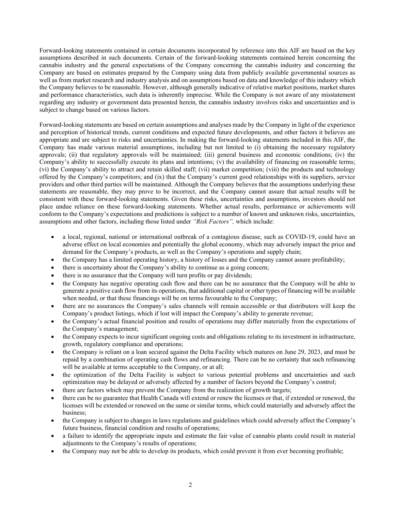Forward-looking statements contained in certain documents incorporated by reference into this AIF are based on the key assumptions described in such documents. Certain of the forward-looking statements contained herein concerning the cannabis industry and the general expectations of the Company concerning the cannabis industry and concerning the Company are based on estimates prepared by the Company using data from publicly available governmental sources as well as from market research and industry analysis and on assumptions based on data and knowledge of this industry which the Company believes to be reasonable. However, although generally indicative of relative market positions, market shares and performance characteristics, such data is inherently imprecise. While the Company is not aware of any misstatement regarding any industry or government data presented herein, the cannabis industry involves risks and uncertainties and is subject to change based on various factors.

Forward-looking statements are based on certain assumptions and analyses made by the Company in light of the experience and perception of historical trends, current conditions and expected future developments, and other factors it believes are appropriate and are subject to risks and uncertainties. In making the forward-looking statements included in this AIF, the Company has made various material assumptions, including but not limited to (i) obtaining the necessary regulatory approvals; (ii) that regulatory approvals will be maintained; (iii) general business and economic conditions; (iv) the Company's ability to successfully execute its plans and intentions; (v) the availability of financing on reasonable terms; (vi) the Company's ability to attract and retain skilled staff; (vii) market competition; (viii) the products and technology offered by the Company's competitors; and (ix) that the Company's current good relationships with its suppliers, service providers and other third parties will be maintained. Although the Company believes that the assumptions underlying these statements are reasonable, they may prove to be incorrect, and the Company cannot assure that actual results will be consistent with these forward-looking statements. Given these risks, uncertainties and assumptions, investors should not place undue reliance on these forward-looking statements. Whether actual results, performance or achievements will conform to the Company's expectations and predictions is subject to a number of known and unknown risks, uncertainties, assumptions and other factors, including those listed under *"Risk Factors",* which include:

- a local, regional, national or international outbreak of a contagious disease, such as COVID-19, could have an adverse effect on local economies and potentially the global economy, which may adversely impact the price and demand for the Company's products, as well as the Company's operations and supply chain;
- the Company has a limited operating history, a history of losses and the Company cannot assure profitability;
- there is uncertainty about the Company's ability to continue as a going concern;
- there is no assurance that the Company will turn profits or pay dividends;
- the Company has negative operating cash flow and there can be no assurance that the Company will be able to generate a positive cash flow from its operations, that additional capital or other types of financing will be available when needed, or that these financings will be on terms favourable to the Company;
- there are no assurances the Company's sales channels will remain accessible or that distributors will keep the Company's product listings, which if lost will impact the Company's ability to generate revenue;
- the Company's actual financial position and results of operations may differ materially from the expectations of the Company's management;
- the Company expects to incur significant ongoing costs and obligations relating to its investment in infrastructure, growth, regulatory compliance and operations;
- the Company is reliant on a loan secured against the Delta Facility which matures on June 29, 2023, and must be repaid by a combination of operating cash flows and refinancing. There can be no certainty that such refinancing will be available at terms acceptable to the Company, or at all;
- the optimization of the Delta Facility is subject to various potential problems and uncertainties and such optimization may be delayed or adversely affected by a number of factors beyond the Company's control;
- there are factors which may prevent the Company from the realization of growth targets;
- there can be no guarantee that Health Canada will extend or renew the licenses or that, if extended or renewed, the licenses will be extended or renewed on the same or similar terms, which could materially and adversely affect the business;
- the Company is subject to changes in laws regulations and guidelines which could adversely affect the Company's future business, financial condition and results of operations;
- a failure to identify the appropriate inputs and estimate the fair value of cannabis plants could result in material adjustments to the Company's results of operations;
- the Company may not be able to develop its products, which could prevent it from ever becoming profitable;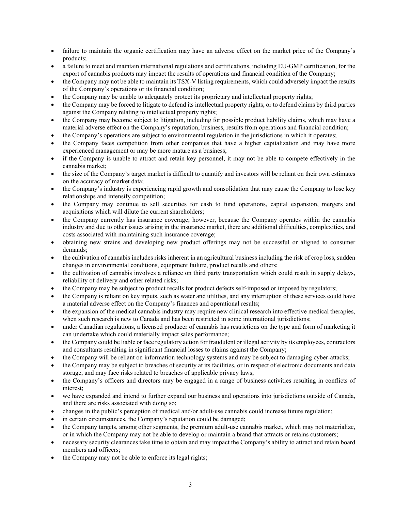- failure to maintain the organic certification may have an adverse effect on the market price of the Company's products;
- a failure to meet and maintain international regulations and certifications, including EU-GMP certification, for the export of cannabis products may impact the results of operations and financial condition of the Company;
- the Company may not be able to maintain its TSX-V listing requirements, which could adversely impact the results of the Company's operations or its financial condition;
- the Company may be unable to adequately protect its proprietary and intellectual property rights;
- the Company may be forced to litigate to defend its intellectual property rights, or to defend claims by third parties against the Company relating to intellectual property rights;
- the Company may become subject to litigation, including for possible product liability claims, which may have a material adverse effect on the Company's reputation, business, results from operations and financial condition;
- the Company's operations are subject to environmental regulation in the jurisdictions in which it operates;
- the Company faces competition from other companies that have a higher capitalization and may have more experienced management or may be more mature as a business;
- if the Company is unable to attract and retain key personnel, it may not be able to compete effectively in the cannabis market;
- the size of the Company's target market is difficult to quantify and investors will be reliant on their own estimates on the accuracy of market data;
- the Company's industry is experiencing rapid growth and consolidation that may cause the Company to lose key relationships and intensify competition;
- the Company may continue to sell securities for cash to fund operations, capital expansion, mergers and acquisitions which will dilute the current shareholders;
- the Company currently has insurance coverage; however, because the Company operates within the cannabis industry and due to other issues arising in the insurance market, there are additional difficulties, complexities, and costs associated with maintaining such insurance coverage;
- obtaining new strains and developing new product offerings may not be successful or aligned to consumer demands;
- the cultivation of cannabis includes risks inherent in an agricultural business including the risk of crop loss, sudden changes in environmental conditions, equipment failure, product recalls and others;
- the cultivation of cannabis involves a reliance on third party transportation which could result in supply delays, reliability of delivery and other related risks;
- the Company may be subject to product recalls for product defects self-imposed or imposed by regulators;
- the Company is reliant on key inputs, such as water and utilities, and any interruption of these services could have a material adverse effect on the Company's finances and operational results;
- the expansion of the medical cannabis industry may require new clinical research into effective medical therapies, when such research is new to Canada and has been restricted in some international jurisdictions;
- under Canadian regulations, a licensed producer of cannabis has restrictions on the type and form of marketing it can undertake which could materially impact sales performance;
- the Company could be liable or face regulatory action for fraudulent or illegal activity by its employees, contractors and consultants resulting in significant financial losses to claims against the Company;
- the Company will be reliant on information technology systems and may be subject to damaging cyber-attacks;
- the Company may be subject to breaches of security at its facilities, or in respect of electronic documents and data storage, and may face risks related to breaches of applicable privacy laws;
- the Company's officers and directors may be engaged in a range of business activities resulting in conflicts of interest;
- we have expanded and intend to further expand our business and operations into jurisdictions outside of Canada, and there are risks associated with doing so;
- changes in the public's perception of medical and/or adult-use cannabis could increase future regulation;
- in certain circumstances, the Company's reputation could be damaged;
- the Company targets, among other segments, the premium adult-use cannabis market, which may not materialize, or in which the Company may not be able to develop or maintain a brand that attracts or retains customers;
- necessary security clearances take time to obtain and may impact the Company's ability to attract and retain board members and officers;
- the Company may not be able to enforce its legal rights;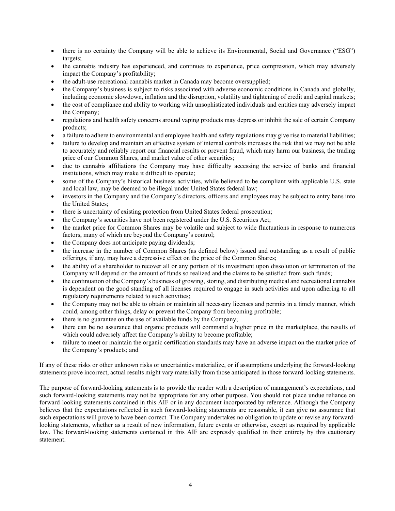- there is no certainty the Company will be able to achieve its Environmental, Social and Governance ("ESG") targets;
- the cannabis industry has experienced, and continues to experience, price compression, which may adversely impact the Company's profitability;
- the adult-use recreational cannabis market in Canada may become oversupplied;
- the Company's business is subject to risks associated with adverse economic conditions in Canada and globally, including economic slowdown, inflation and the disruption, volatility and tightening of credit and capital markets;
- the cost of compliance and ability to working with unsophisticated individuals and entities may adversely impact the Company;
- regulations and health safety concerns around vaping products may depress or inhibit the sale of certain Company products;
- a failure to adhere to environmental and employee health and safety regulations may give rise to material liabilities;
- failure to develop and maintain an effective system of internal controls increases the risk that we may not be able to accurately and reliably report our financial results or prevent fraud, which may harm our business, the trading price of our Common Shares, and market value of other securities;
- due to cannabis affiliations the Company may have difficulty accessing the service of banks and financial institutions, which may make it difficult to operate;
- some of the Company's historical business activities, while believed to be compliant with applicable U.S. state and local law, may be deemed to be illegal under United States federal law;
- investors in the Company and the Company's directors, officers and employees may be subject to entry bans into the United States;
- there is uncertainty of existing protection from United States federal prosecution;
- the Company's securities have not been registered under the U.S. Securities Act;
- the market price for Common Shares may be volatile and subject to wide fluctuations in response to numerous factors, many of which are beyond the Company's control;
- the Company does not anticipate paying dividends;
- the increase in the number of Common Shares (as defined below) issued and outstanding as a result of public offerings, if any, may have a depressive effect on the price of the Common Shares;
- the ability of a shareholder to recover all or any portion of its investment upon dissolution or termination of the Company will depend on the amount of funds so realized and the claims to be satisfied from such funds;
- the continuation of the Company's business of growing, storing, and distributing medical and recreational cannabis is dependent on the good standing of all licenses required to engage in such activities and upon adhering to all regulatory requirements related to such activities;
- the Company may not be able to obtain or maintain all necessary licenses and permits in a timely manner, which could, among other things, delay or prevent the Company from becoming profitable;
- there is no guarantee on the use of available funds by the Company;
- there can be no assurance that organic products will command a higher price in the marketplace, the results of which could adversely affect the Company's ability to become profitable;
- failure to meet or maintain the organic certification standards may have an adverse impact on the market price of the Company's products; and

If any of these risks or other unknown risks or uncertainties materialize, or if assumptions underlying the forward-looking statements prove incorrect, actual results might vary materially from those anticipated in those forward-looking statements.

The purpose of forward-looking statements is to provide the reader with a description of management's expectations, and such forward-looking statements may not be appropriate for any other purpose. You should not place undue reliance on forward-looking statements contained in this AIF or in any document incorporated by reference. Although the Company believes that the expectations reflected in such forward-looking statements are reasonable, it can give no assurance that such expectations will prove to have been correct. The Company undertakes no obligation to update or revise any forwardlooking statements, whether as a result of new information, future events or otherwise, except as required by applicable law. The forward-looking statements contained in this AIF are expressly qualified in their entirety by this cautionary statement.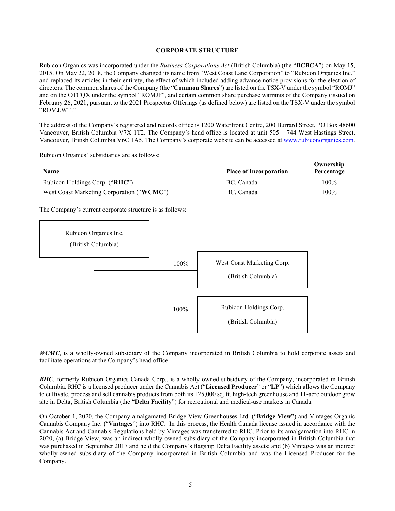#### **CORPORATE STRUCTURE**

<span id="page-6-0"></span>Rubicon Organics was incorporated under the *Business Corporations Act* (British Columbia) (the "**BCBCA**") on May 15, 2015. On May 22, 2018, the Company changed its name from "West Coast Land Corporation" to "Rubicon Organics Inc." and replaced its articles in their entirety, the effect of which included adding advance notice provisions for the election of directors. The common shares of the Company (the "**Common Shares**") are listed on the TSX-V under the symbol "ROMJ" and on the OTCQX under the symbol "ROMJF", and certain common share purchase warrants of the Company (issued on February 26, 2021, pursuant to the 2021 Prospectus Offerings (as defined below) are listed on the TSX-V under the symbol "ROMJ.WT."

The address of the Company's registered and records office is 1200 Waterfront Centre, 200 Burrard Street, PO Box 48600 Vancouver, British Columbia V7X 1T2. The Company's head office is located at unit 505 – 744 West Hastings Street, Vancouver, British Columbia V6C 1A5. The Company's corporate website can be accessed at [www.rubiconorganics.com.](http://www.rubiconorganics.com/) 

**Ownership** 

Rubicon Organics' subsidiaries are as follows:

| Name                           |                                                          | <b>Place of Incorporation</b>                    | OWHETSHIP<br>Percentage |
|--------------------------------|----------------------------------------------------------|--------------------------------------------------|-------------------------|
| Rubicon Holdings Corp. ("RHC") |                                                          | BC, Canada                                       | 100%                    |
|                                | West Coast Marketing Corporation ("WCMC")                | BC, Canada                                       | 100%                    |
|                                | The Company's current corporate structure is as follows: |                                                  |                         |
| Rubicon Organics Inc.          | (British Columbia)                                       |                                                  |                         |
|                                | 100%                                                     | West Coast Marketing Corp.<br>(British Columbia) |                         |
|                                | 100%                                                     | Rubicon Holdings Corp.<br>(British Columbia)     |                         |

*WCMC*, is a wholly-owned subsidiary of the Company incorporated in British Columbia to hold corporate assets and facilitate operations at the Company's head office.

*RHC*, formerly Rubicon Organics Canada Corp., is a wholly-owned subsidiary of the Company, incorporated in British Columbia. RHC is a licensed producer under the Cannabis Act ("**Licensed Producer**" or "**LP**") which allows the Company to cultivate, process and sell cannabis products from both its 125,000 sq. ft. high-tech greenhouse and 11-acre outdoor grow site in Delta, British Columbia (the "**Delta Facility**") for recreational and medical-use markets in Canada.

On October 1, 2020, the Company amalgamated Bridge View Greenhouses Ltd. ("**Bridge View**") and Vintages Organic Cannabis Company Inc. ("**Vintages**") into RHC. In this process, the Health Canada license issued in accordance with the Cannabis Act and Cannabis Regulations held by Vintages was transferred to RHC. Prior to its amalgamation into RHC in 2020, (a) Bridge View, was an indirect wholly-owned subsidiary of the Company incorporated in British Columbia that was purchased in September 2017 and held the Company's flagship Delta Facility assets; and (b) Vintages was an indirect wholly-owned subsidiary of the Company incorporated in British Columbia and was the Licensed Producer for the Company.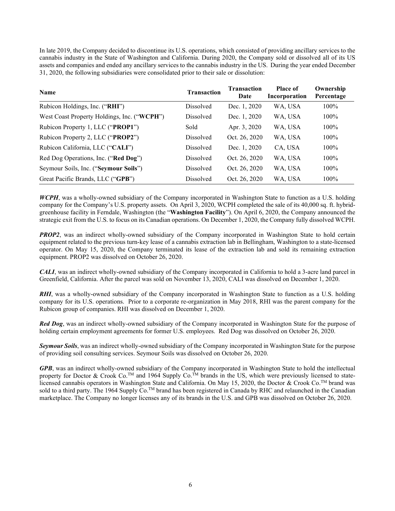In late 2019, the Company decided to discontinue its U.S. operations, which consisted of providing ancillary services to the cannabis industry in the State of Washington and California. During 2020, the Company sold or dissolved all of its US assets and companies and ended any ancillary services to the cannabis industry in the US. During the year ended December 31, 2020, the following subsidiaries were consolidated prior to their sale or dissolution:

| Name                                        | <b>Transaction</b> | <b>Transaction</b><br>Date | <b>Place of</b><br>Incorporation | Ownership<br>Percentage |
|---------------------------------------------|--------------------|----------------------------|----------------------------------|-------------------------|
| Rubicon Holdings, Inc. ("RHI")              | Dissolved          | Dec. 1, 2020               | WA, USA                          | $100\%$                 |
| West Coast Property Holdings, Inc. ("WCPH") | Dissolved          | Dec. 1, 2020               | WA, USA                          | $100\%$                 |
| Rubicon Property 1, LLC ("PROP1")           | Sold               | Apr. 3, 2020               | WA, USA                          | $100\%$                 |
| Rubicon Property 2, LLC ("PROP2")           | Dissolved          | Oct. 26, 2020              | WA, USA                          | $100\%$                 |
| Rubicon California, LLC ("CALI")            | Dissolved          | Dec. 1, 2020               | CA, USA                          | $100\%$                 |
| Red Dog Operations, Inc. ("Red Dog")        | Dissolved          | Oct. 26, 2020              | WA, USA                          | $100\%$                 |
| Seymour Soils, Inc. ("Seymour Soils")       | Dissolved          | Oct. 26, 2020              | WA. USA                          | $100\%$                 |
| Great Pacific Brands, LLC ("GPB")           | Dissolved          | Oct. 26, 2020              | WA, USA                          | 100%                    |

*WCPH*, was a wholly-owned subsidiary of the Company incorporated in Washington State to function as a U.S. holding company for the Company's U.S. property assets. On April 3, 2020, WCPH completed the sale of its 40,000 sq. ft. hybridgreenhouse facility in Ferndale, Washington (the "**Washington Facility**"). On April 6, 2020, the Company announced the strategic exit from the U.S. to focus on its Canadian operations. On December 1, 2020, the Company fully dissolved WCPH.

*PROP2*, was an indirect wholly-owned subsidiary of the Company incorporated in Washington State to hold certain equipment related to the previous turn-key lease of a cannabis extraction lab in Bellingham, Washington to a state-licensed operator. On May 15, 2020, the Company terminated its lease of the extraction lab and sold its remaining extraction equipment. PROP2 was dissolved on October 26, 2020.

*CALI*, was an indirect wholly-owned subsidiary of the Company incorporated in California to hold a 3-acre land parcel in Greenfield, California. After the parcel was sold on November 13, 2020, CALI was dissolved on December 1, 2020.

*RHI*, was a wholly-owned subsidiary of the Company incorporated in Washington State to function as a U.S. holding company for its U.S. operations. Prior to a corporate re-organization in May 2018, RHI was the parent company for the Rubicon group of companies. RHI was dissolved on December 1, 2020.

*Red Dog*, was an indirect wholly-owned subsidiary of the Company incorporated in Washington State for the purpose of holding certain employment agreements for former U.S. employees. Red Dog was dissolved on October 26, 2020.

*Seymour Soils*, was an indirect wholly-owned subsidiary of the Company incorporated in Washington State for the purpose of providing soil consulting services. Seymour Soils was dissolved on October 26, 2020.

*GPB*, was an indirect wholly-owned subsidiary of the Company incorporated in Washington State to hold the intellectual property for Doctor & Crook Co.<sup>TM</sup> and 1964 Supply Co.<sup>TM</sup> brands in the US, which were previously licensed to statelicensed cannabis operators in Washington State and California. On May 15, 2020, the Doctor & Crook Co.TM brand was sold to a third party. The 1964 Supply  $Co$ .<sup>TM</sup> brand has been registered in Canada by RHC and relaunched in the Canadian marketplace. The Company no longer licenses any of its brands in the U.S. and GPB was dissolved on October 26, 2020.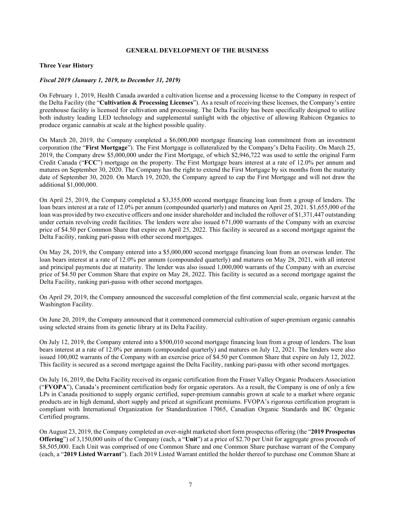#### **GENERAL DEVELOPMENT OF THE BUSINESS**

#### <span id="page-8-0"></span>**Three Year History**

#### *Fiscal 2019 (January 1, 2019, to December 31, 2019)*

On February 1, 2019, Health Canada awarded a cultivation license and a processing license to the Company in respect of the Delta Facility (the "**Cultivation & Processing Licenses**"). As a result of receiving these licenses, the Company's entire greenhouse facility is licensed for cultivation and processing. The Delta Facility has been specifically designed to utilize both industry leading LED technology and supplemental sunlight with the objective of allowing Rubicon Organics to produce organic cannabis at scale at the highest possible quality.

On March 20, 2019, the Company completed a \$6,000,000 mortgage financing loan commitment from an investment corporation (the "**First Mortgage**"). The First Mortgage is collateralized by the Company's Delta Facility. On March 25, 2019, the Company drew \$5,000,000 under the First Mortgage, of which \$2,946,722 was used to settle the original Farm Credit Canada ("**FCC**") mortgage on the property. The First Mortgage bears interest at a rate of 12.0% per annum and matures on September 30, 2020. The Company has the right to extend the First Mortgage by six months from the maturity date of September 30, 2020. On March 19, 2020, the Company agreed to cap the First Mortgage and will not draw the additional \$1,000,000.

On April 25, 2019, the Company completed a \$3,355,000 second mortgage financing loan from a group of lenders. The loan bears interest at a rate of 12.0% per annum (compounded quarterly) and matures on April 25, 2021. \$1,655,000 of the loan was provided by two executive officers and one insider shareholder and included the rollover of \$1,371,447 outstanding under certain revolving credit facilities. The lenders were also issued 671,000 warrants of the Company with an exercise price of \$4.50 per Common Share that expire on April 25, 2022. This facility is secured as a second mortgage against the Delta Facility, ranking pari-passu with other second mortgages.

On May 28, 2019, the Company entered into a \$5,000,000 second mortgage financing loan from an overseas lender. The loan bears interest at a rate of 12.0% per annum (compounded quarterly) and matures on May 28, 2021, with all interest and principal payments due at maturity. The lender was also issued 1,000,000 warrants of the Company with an exercise price of \$4.50 per Common Share that expire on May 28, 2022. This facility is secured as a second mortgage against the Delta Facility, ranking pari-passu with other second mortgages.

On April 29, 2019, the Company announced the successful completion of the first commercial scale, organic harvest at the Washington Facility.

On June 20, 2019, the Company announced that it commenced commercial cultivation of super-premium organic cannabis using selected strains from its genetic library at its Delta Facility.

On July 12, 2019, the Company entered into a \$500,010 second mortgage financing loan from a group of lenders. The loan bears interest at a rate of 12.0% per annum (compounded quarterly) and matures on July 12, 2021. The lenders were also issued 100,002 warrants of the Company with an exercise price of \$4.50 per Common Share that expire on July 12, 2022. This facility is secured as a second mortgage against the Delta Facility, ranking pari-passu with other second mortgages.

On July 16, 2019, the Delta Facility received its organic certification from the Fraser Valley Organic Producers Association ("**FVOPA**"), Canada's preeminent certification body for organic operators. As a result, the Company is one of only a few LPs in Canada positioned to supply organic certified, super-premium cannabis grown at scale to a market where organic products are in high demand, short supply and priced at significant premiums. FVOPA's rigorous certification program is compliant with International Organization for Standardization 17065, Canadian Organic Standards and BC Organic Certified programs.

On August 23, 2019, the Company completed an over-night marketed short form prospectus offering (the "**2019 Prospectus Offering**") of 3,150,000 units of the Company (each, a "**Unit**") at a price of \$2.70 per Unit for aggregate gross proceeds of \$8,505,000. Each Unit was comprised of one Common Share and one Common Share purchase warrant of the Company (each, a "**2019 Listed Warrant**"). Each 2019 Listed Warrant entitled the holder thereof to purchase one Common Share at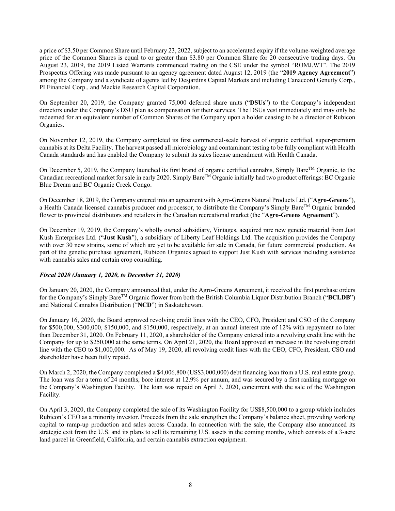a price of \$3.50 per Common Share until February 23, 2022, subject to an accelerated expiry if the volume-weighted average price of the Common Shares is equal to or greater than \$3.80 per Common Share for 20 consecutive trading days. On August 23, 2019, the 2019 Listed Warrants commenced trading on the CSE under the symbol "ROMJ.WT". The 2019 Prospectus Offering was made pursuant to an agency agreement dated August 12, 2019 (the "**2019 Agency Agreement**") among the Company and a syndicate of agents led by Desjardins Capital Markets and including Canaccord Genuity Corp., PI Financial Corp., and Mackie Research Capital Corporation.

On September 20, 2019, the Company granted 75,000 deferred share units ("**DSUs**") to the Company's independent directors under the Company's DSU plan as compensation for their services. The DSUs vest immediately and may only be redeemed for an equivalent number of Common Shares of the Company upon a holder ceasing to be a director of Rubicon Organics.

On November 12, 2019, the Company completed its first commercial-scale harvest of organic certified, super-premium cannabis at its Delta Facility. The harvest passed all microbiology and contaminant testing to be fully compliant with Health Canada standards and has enabled the Company to submit its sales license amendment with Health Canada.

On December 5, 2019, the Company launched its first brand of organic certified cannabis, Simply Bare<sup>TM</sup> Organic, to the Canadian recreational market for sale in early 2020. Simply BareTM Organic initially had two product offerings: BC Organic Blue Dream and BC Organic Creek Congo.

On December 18, 2019, the Company entered into an agreement with Agro-Greens Natural Products Ltd. ("**Agro-Greens**"), a Health Canada licensed cannabis producer and processor, to distribute the Company's Simply Bare<sup>TM</sup> Organic branded flower to provincial distributors and retailers in the Canadian recreational market (the "**Agro-Greens Agreement**").

On December 19, 2019, the Company's wholly owned subsidiary, Vintages, acquired rare new genetic material from Just Kush Enterprises Ltd. ("**Just Kush**"), a subsidiary of Liberty Leaf Holdings Ltd. The acquisition provides the Company with over 30 new strains, some of which are yet to be available for sale in Canada, for future commercial production. As part of the genetic purchase agreement, Rubicon Organics agreed to support Just Kush with services including assistance with cannabis sales and certain crop consulting.

#### *Fiscal 2020 (January 1, 2020, to December 31, 2020)*

On January 20, 2020, the Company announced that, under the Agro-Greens Agreement, it received the first purchase orders for the Company's Simply BareTM Organic flower from both the British Columbia Liquor Distribution Branch ("**BCLDB**") and National Cannabis Distribution ("**NCD**") in Saskatchewan.

On January 16, 2020, the Board approved revolving credit lines with the CEO, CFO, President and CSO of the Company for \$500,000, \$300,000, \$150,000, and \$150,000, respectively, at an annual interest rate of 12% with repayment no later than December 31, 2020. On February 11, 2020, a shareholder of the Company entered into a revolving credit line with the Company for up to \$250,000 at the same terms. On April 21, 2020, the Board approved an increase in the revolving credit line with the CEO to \$1,000,000. As of May 19, 2020, all revolving credit lines with the CEO, CFO, President, CSO and shareholder have been fully repaid.

On March 2, 2020, the Company completed a \$4,006,800 (US\$3,000,000) debt financing loan from a U.S. real estate group. The loan was for a term of 24 months, bore interest at 12.9% per annum, and was secured by a first ranking mortgage on the Company's Washington Facility. The loan was repaid on April 3, 2020, concurrent with the sale of the Washington Facility.

On April 3, 2020, the Company completed the sale of its Washington Facility for US\$8,500,000 to a group which includes Rubicon's CEO as a minority investor. Proceeds from the sale strengthen the Company's balance sheet, providing working capital to ramp-up production and sales across Canada. In connection with the sale, the Company also announced its strategic exit from the U.S. and its plans to sell its remaining U.S. assets in the coming months, which consists of a 3-acre land parcel in Greenfield, California, and certain cannabis extraction equipment.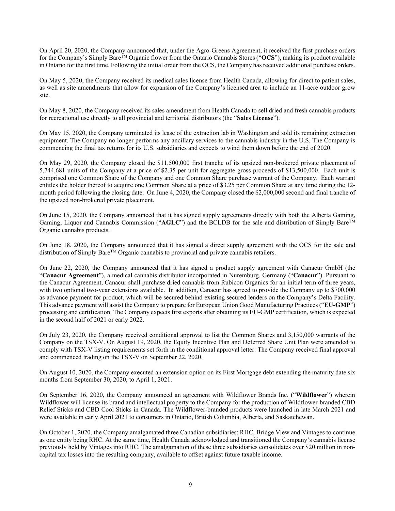On April 20, 2020, the Company announced that, under the Agro-Greens Agreement, it received the first purchase orders for the Company's Simply Bare<sup>TM</sup> Organic flower from the Ontario Cannabis Stores ("**OCS**"), making its product available in Ontario for the first time. Following the initial order from the OCS, the Company has received additional purchase orders.

On May 5, 2020, the Company received its medical sales license from Health Canada, allowing for direct to patient sales, as well as site amendments that allow for expansion of the Company's licensed area to include an 11-acre outdoor grow site.

On May 8, 2020, the Company received its sales amendment from Health Canada to sell dried and fresh cannabis products for recreational use directly to all provincial and territorial distributors (the "**Sales License**").

On May 15, 2020, the Company terminated its lease of the extraction lab in Washington and sold its remaining extraction equipment. The Company no longer performs any ancillary services to the cannabis industry in the U.S. The Company is commencing the final tax returns for its U.S. subsidiaries and expects to wind them down before the end of 2020.

On May 29, 2020, the Company closed the \$11,500,000 first tranche of its upsized non-brokered private placement of 5,744,681 units of the Company at a price of \$2.35 per unit for aggregate gross proceeds of \$13,500,000. Each unit is comprised one Common Share of the Company and one Common Share purchase warrant of the Company. Each warrant entitles the holder thereof to acquire one Common Share at a price of \$3.25 per Common Share at any time during the 12 month period following the closing date. On June 4, 2020, the Company closed the \$2,000,000 second and final tranche of the upsized non-brokered private placement.

On June 15, 2020, the Company announced that it has signed supply agreements directly with both the Alberta Gaming, Gaming, Liquor and Cannabis Commission ("**AGLC**") and the BCLDB for the sale and distribution of Simply BareTM Organic cannabis products.

On June 18, 2020, the Company announced that it has signed a direct supply agreement with the OCS for the sale and distribution of Simply Bare™ Organic cannabis to provincial and private cannabis retailers.

On June 22, 2020, the Company announced that it has signed a product supply agreement with Canacur GmbH (the "**Canacur Agreement**"), a medical cannabis distributor incorporated in Nuremburg, Germany ("**Canacur**"). Pursuant to the Canacur Agreement, Canacur shall purchase dried cannabis from Rubicon Organics for an initial term of three years, with two optional two-year extensions available. In addition, Canacur has agreed to provide the Company up to \$700,000 as advance payment for product, which will be secured behind existing secured lenders on the Company's Delta Facility. This advance payment will assist the Company to prepare for European Union Good Manufacturing Practices ("**EU-GMP**") processing and certification. The Company expects first exports after obtaining its EU-GMP certification, which is expected in the second half of 2021 or early 2022.

On July 23, 2020, the Company received conditional approval to list the Common Shares and 3,150,000 warrants of the Company on the TSX-V. On August 19, 2020, the Equity Incentive Plan and Deferred Share Unit Plan were amended to comply with TSX-V listing requirements set forth in the conditional approval letter. The Company received final approval and commenced trading on the TSX-V on September 22, 2020.

On August 10, 2020, the Company executed an extension option on its First Mortgage debt extending the maturity date six months from September 30, 2020, to April 1, 2021.

On September 16, 2020, the Company announced an agreement with Wildflower Brands Inc. ("**Wildflower**") wherein Wildflower will license its brand and intellectual property to the Company for the production of Wildflower-branded CBD Relief Sticks and CBD Cool Sticks in Canada. The Wildflower-branded products were launched in late March 2021 and were available in early April 2021 to consumers in Ontario, British Columbia, Alberta, and Saskatchewan.

On October 1, 2020, the Company amalgamated three Canadian subsidiaries: RHC, Bridge View and Vintages to continue as one entity being RHC. At the same time, Health Canada acknowledged and transitioned the Company's cannabis license previously held by Vintages into RHC. The amalgamation of these three subsidiaries consolidates over \$20 million in noncapital tax losses into the resulting company, available to offset against future taxable income.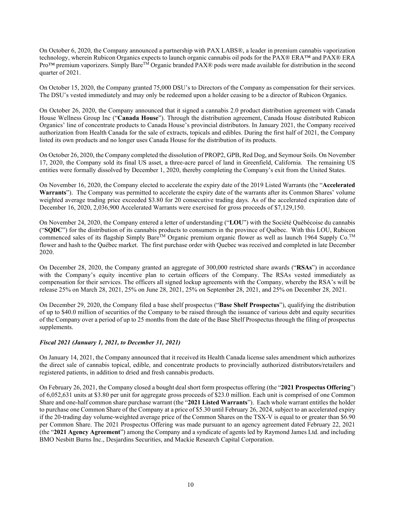On October 6, 2020, the Company announced a partnership with PAX LABS®, a leader in premium cannabis vaporization technology, wherein Rubicon Organics expects to launch organic cannabis oil pods for the PAX® ERA™ and PAX® ERA  $P_{\text{TO}}$ <sup>M</sup> premium vaporizers. Simply Bare<sup>TM</sup> Organic branded PAX<sup>®</sup> pods were made available for distribution in the second quarter of 2021.

On October 15, 2020, the Company granted 75,000 DSU's to Directors of the Company as compensation for their services. The DSU's vested immediately and may only be redeemed upon a holder ceasing to be a director of Rubicon Organics.

On October 26, 2020, the Company announced that it signed a cannabis 2.0 product distribution agreement with Canada House Wellness Group Inc ("**Canada House**"). Through the distribution agreement, Canada House distributed Rubicon Organics' line of concentrate products to Canada House's provincial distributors. In January 2021, the Company received authorization from Health Canada for the sale of extracts, topicals and edibles. During the first half of 2021, the Company listed its own products and no longer uses Canada House for the distribution of its products.

On October 26, 2020, the Company completed the dissolution of PROP2, GPB, Red Dog, and Seymour Soils. On November 17, 2020, the Company sold its final US asset, a three-acre parcel of land in Greenfield, California. The remaining US entities were formally dissolved by December 1, 2020, thereby completing the Company's exit from the United States.

On November 16, 2020, the Company elected to accelerate the expiry date of the 2019 Listed Warrants (the "**Accelerated Warrants**"). The Company was permitted to accelerate the expiry date of the warrants after its Common Shares' volume weighted average trading price exceeded \$3.80 for 20 consecutive trading days. As of the accelerated expiration date of December 16, 2020, 2,036,900 Accelerated Warrants were exercised for gross proceeds of \$7,129,150.

On November 24, 2020, the Company entered a letter of understanding ("**LOU**") with the Société Québécoise du cannabis ("**SQDC**") for the distribution of its cannabis products to consumers in the province of Québec. With this LOU, Rubicon commenced sales of its flagship Simply Bare<sup>TM</sup> Organic premium organic flower as well as launch 1964 Supply Co.<sup>TM</sup> flower and hash to the Québec market. The first purchase order with Quebec was received and completed in late December 2020.

On December 28, 2020, the Company granted an aggregate of 300,000 restricted share awards ("**RSAs**") in accordance with the Company's equity incentive plan to certain officers of the Company. The RSAs vested immediately as compensation for their services. The officers all signed lockup agreements with the Company, whereby the RSA's will be release 25% on March 28, 2021, 25% on June 28, 2021, 25% on September 28, 2021, and 25% on December 28, 2021.

On December 29, 2020, the Company filed a base shelf prospectus ("**Base Shelf Prospectus**"), qualifying the distribution of up to \$40.0 million of securities of the Company to be raised through the issuance of various debt and equity securities of the Company over a period of up to 25 months from the date of the Base Shelf Prospectus through the filing of prospectus supplements.

#### *Fiscal 2021 (January 1, 2021, to December 31, 2021)*

On January 14, 2021, the Company announced that it received its Health Canada license sales amendment which authorizes the direct sale of cannabis topical, edible, and concentrate products to provincially authorized distributors/retailers and registered patients, in addition to dried and fresh cannabis products.

On February 26, 2021, the Company closed a bought deal short form prospectus offering (the "**2021 Prospectus Offering**") of 6,052,631 units at \$3.80 per unit for aggregate gross proceeds of \$23.0 million. Each unit is comprised of one Common Share and one-half common share purchase warrant (the "**2021 Listed Warrants**"). Each whole warrant entitles the holder to purchase one Common Share of the Company at a price of \$5.30 until February 26, 2024, subject to an accelerated expiry if the 20-trading day volume-weighted average price of the Common Shares on the TSX-V is equal to or greater than \$6.90 per Common Share. The 2021 Prospectus Offering was made pursuant to an agency agreement dated February 22, 2021 (the "**2021 Agency Agreement**") among the Company and a syndicate of agents led by Raymond James Ltd. and including BMO Nesbitt Burns Inc., Desjardins Securities, and Mackie Research Capital Corporation.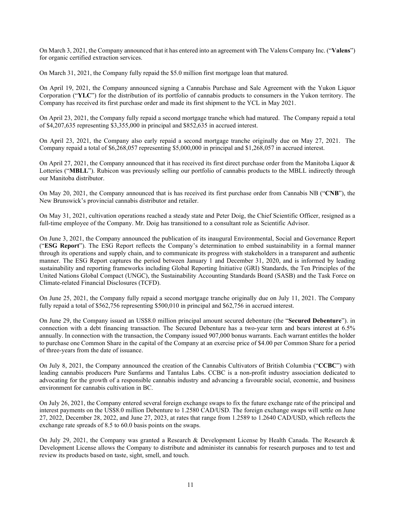On March 3, 2021, the Company announced that it has entered into an agreement with The Valens Company Inc. ("**Valens**") for organic certified extraction services.

On March 31, 2021, the Company fully repaid the \$5.0 million first mortgage loan that matured.

On April 19, 2021, the Company announced signing a Cannabis Purchase and Sale Agreement with the Yukon Liquor Corporation ("**YLC**") for the distribution of its portfolio of cannabis products to consumers in the Yukon territory. The Company has received its first purchase order and made its first shipment to the YCL in May 2021.

On April 23, 2021, the Company fully repaid a second mortgage tranche which had matured. The Company repaid a total of \$4,207,635 representing \$3,355,000 in principal and \$852,635 in accrued interest.

On April 23, 2021, the Company also early repaid a second mortgage tranche originally due on May 27, 2021. The Company repaid a total of \$6,268,057 representing \$5,000,000 in principal and \$1,268,057 in accrued interest.

On April 27, 2021, the Company announced that it has received its first direct purchase order from the Manitoba Liquor & Lotteries ("**MBLL**"). Rubicon was previously selling our portfolio of cannabis products to the MBLL indirectly through our Manitoba distributor.

On May 20, 2021, the Company announced that is has received its first purchase order from Cannabis NB ("**CNB**"), the New Brunswick's provincial cannabis distributor and retailer.

On May 31, 2021, cultivation operations reached a steady state and Peter Doig, the Chief Scientific Officer, resigned as a full-time employee of the Company. Mr. Doig has transitioned to a consultant role as Scientific Advisor.

On June 3, 2021, the Company announced the publication of its inaugural Environmental, Social and Governance Report ("**ESG Report**"). The ESG Report reflects the Company's determination to embed sustainability in a formal manner through its operations and supply chain, and to communicate its progress with stakeholders in a transparent and authentic manner. The ESG Report captures the period between January 1 and December 31, 2020, and is informed by leading sustainability and reporting frameworks including Global Reporting Initiative (GRI) Standards, the Ten Principles of the United Nations Global Compact (UNGC), the Sustainability Accounting Standards Board (SASB) and the Task Force on Climate-related Financial Disclosures (TCFD).

On June 25, 2021, the Company fully repaid a second mortgage tranche originally due on July 11, 2021. The Company fully repaid a total of \$562,756 representing \$500,010 in principal and \$62,756 in accrued interest.

On June 29, the Company issued an US\$8.0 million principal amount secured debenture (the "**Secured Debenture**"). in connection with a debt financing transaction. The Secured Debenture has a two-year term and bears interest at 6.5% annually. In connection with the transaction, the Company issued 907,000 bonus warrants. Each warrant entitles the holder to purchase one Common Share in the capital of the Company at an exercise price of \$4.00 per Common Share for a period of three-years from the date of issuance.

On July 8, 2021, the Company announced the creation of the Cannabis Cultivators of British Columbia ("**CCBC**") with leading cannabis producers Pure Sunfarms and Tantalus Labs. CCBC is a non-profit industry association dedicated to advocating for the growth of a responsible cannabis industry and advancing a favourable social, economic, and business environment for cannabis cultivation in BC.

On July 26, 2021, the Company entered several foreign exchange swaps to fix the future exchange rate of the principal and interest payments on the US\$8.0 million Debenture to 1.2580 CAD/USD. The foreign exchange swaps will settle on June 27, 2022, December 28, 2022, and June 27, 2023, at rates that range from 1.2589 to 1.2640 CAD/USD, which reflects the exchange rate spreads of 8.5 to 60.0 basis points on the swaps.

On July 29, 2021, the Company was granted a Research & Development License by Health Canada. The Research & Development License allows the Company to distribute and administer its cannabis for research purposes and to test and review its products based on taste, sight, smell, and touch.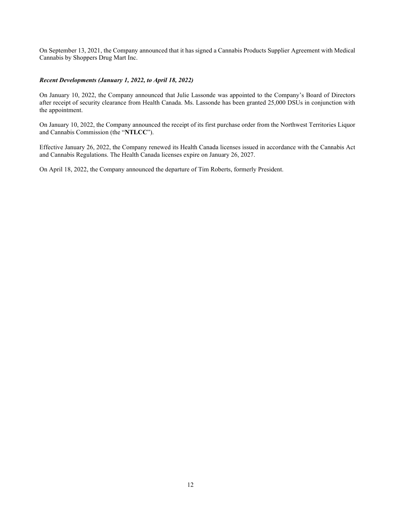On September 13, 2021, the Company announced that it has signed a Cannabis Products Supplier Agreement with Medical Cannabis by Shoppers Drug Mart Inc.

#### *Recent Developments (January 1, 2022, to April 18, 2022)*

On January 10, 2022, the Company announced that Julie Lassonde was appointed to the Company's Board of Directors after receipt of security clearance from Health Canada. Ms. Lassonde has been granted 25,000 DSUs in conjunction with the appointment.

On January 10, 2022, the Company announced the receipt of its first purchase order from the Northwest Territories Liquor and Cannabis Commission (the "**NTLCC**").

Effective January 26, 2022, the Company renewed its Health Canada licenses issued in accordance with the Cannabis Act and Cannabis Regulations. The Health Canada licenses expire on January 26, 2027.

On April 18, 2022, the Company announced the departure of Tim Roberts, formerly President.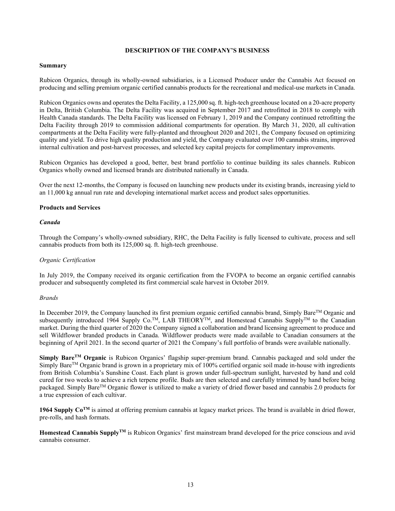#### **DESCRIPTION OF THE COMPANY'S BUSINESS**

#### <span id="page-14-0"></span>**Summary**

Rubicon Organics, through its wholly-owned subsidiaries, is a Licensed Producer under the Cannabis Act focused on producing and selling premium organic certified cannabis products for the recreational and medical-use markets in Canada.

Rubicon Organics owns and operates the Delta Facility, a 125,000 sq. ft. high-tech greenhouse located on a 20-acre property in Delta, British Columbia. The Delta Facility was acquired in September 2017 and retrofitted in 2018 to comply with Health Canada standards. The Delta Facility was licensed on February 1, 2019 and the Company continued retrofitting the Delta Facility through 2019 to commission additional compartments for operation. By March 31, 2020, all cultivation compartments at the Delta Facility were fully-planted and throughout 2020 and 2021, the Company focused on optimizing quality and yield. To drive high quality production and yield, the Company evaluated over 100 cannabis strains, improved internal cultivation and post-harvest processes, and selected key capital projects for complimentary improvements.

Rubicon Organics has developed a good, better, best brand portfolio to continue building its sales channels. Rubicon Organics wholly owned and licensed brands are distributed nationally in Canada.

Over the next 12-months, the Company is focused on launching new products under its existing brands, increasing yield to an 11,000 kg annual run rate and developing international market access and product sales opportunities.

#### **Products and Services**

#### *Canada*

Through the Company's wholly-owned subsidiary, RHC, the Delta Facility is fully licensed to cultivate, process and sell cannabis products from both its 125,000 sq. ft. high-tech greenhouse.

#### *Organic Certification*

In July 2019, the Company received its organic certification from the FVOPA to become an organic certified cannabis producer and subsequently completed its first commercial scale harvest in October 2019.

#### *Brands*

In December 2019, the Company launched its first premium organic certified cannabis brand, Simply Bare™ Organic and subsequently introduced 1964 Supply Co.<sup>™</sup>, LAB THEORY<sup>™</sup>, and Homestead Cannabis Supply<sup>™</sup> to the Canadian market. During the third quarter of 2020 the Company signed a collaboration and brand licensing agreement to produce and sell Wildflower branded products in Canada. Wildflower products were made available to Canadian consumers at the beginning of April 2021. In the second quarter of 2021 the Company's full portfolio of brands were available nationally.

**Simply BareTM Organic** is Rubicon Organics' flagship super-premium brand. Cannabis packaged and sold under the Simply BareTM Organic brand is grown in a proprietary mix of 100% certified organic soil made in-house with ingredients from British Columbia's Sunshine Coast. Each plant is grown under full-spectrum sunlight, harvested by hand and cold cured for two weeks to achieve a rich terpene profile. Buds are then selected and carefully trimmed by hand before being packaged. Simply BareTM Organic flower is utilized to make a variety of dried flower based and cannabis 2.0 products for a true expression of each cultivar.

1964 Supply Co<sup>TM</sup> is aimed at offering premium cannabis at legacy market prices. The brand is available in dried flower, pre-rolls, and hash formats.

**Homestead Cannabis SupplyTM** is Rubicon Organics' first mainstream brand developed for the price conscious and avid cannabis consumer.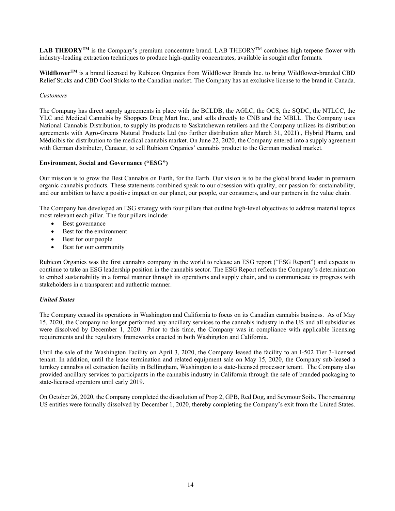LAB THEORY<sup>TM</sup> is the Company's premium concentrate brand. LAB THEORY<sup>TM</sup> combines high terpene flower with industry-leading extraction techniques to produce high-quality concentrates, available in sought after formats.

Wildflower<sup>TM</sup> is a brand licensed by Rubicon Organics from Wildflower Brands Inc. to bring Wildflower-branded CBD Relief Sticks and CBD Cool Sticks to the Canadian market. The Company has an exclusive license to the brand in Canada.

#### *Customers*

The Company has direct supply agreements in place with the BCLDB, the AGLC, the OCS, the SQDC, the NTLCC, the YLC and Medical Cannabis by Shoppers Drug Mart Inc., and sells directly to CNB and the MBLL. The Company uses National Cannabis Distribution, to supply its products to Saskatchewan retailers and the Company utilizes its distribution agreements with Agro-Greens Natural Products Ltd (no further distribution after March 31, 2021)., Hybrid Pharm, and Médicibis for distribution to the medical cannabis market. On June 22, 2020, the Company entered into a supply agreement with German distributer, Canacur, to sell Rubicon Organics' cannabis product to the German medical market.

#### **Environment, Social and Governance ("ESG")**

Our mission is to grow the Best Cannabis on Earth, for the Earth. Our vision is to be the global brand leader in premium organic cannabis products. These statements combined speak to our obsession with quality, our passion for sustainability, and our ambition to have a positive impact on our planet, our people, our consumers, and our partners in the value chain.

The Company has developed an ESG strategy with four pillars that outline high-level objectives to address material topics most relevant each pillar. The four pillars include:

- Best governance
- Best for the environment
- Best for our people
- Best for our community

Rubicon Organics was the first cannabis company in the world to release an ESG report ("ESG Report") and expects to continue to take an ESG leadership position in the cannabis sector. The ESG Report reflects the Company's determination to embed sustainability in a formal manner through its operations and supply chain, and to communicate its progress with stakeholders in a transparent and authentic manner.

#### *United States*

The Company ceased its operations in Washington and California to focus on its Canadian cannabis business. As of May 15, 2020, the Company no longer performed any ancillary services to the cannabis industry in the US and all subsidiaries were dissolved by December 1, 2020. Prior to this time, the Company was in compliance with applicable licensing requirements and the regulatory frameworks enacted in both Washington and California.

Until the sale of the Washington Facility on April 3, 2020, the Company leased the facility to an I-502 Tier 3-licensed tenant. In addition, until the lease termination and related equipment sale on May 15, 2020, the Company sub-leased a turnkey cannabis oil extraction facility in Bellingham, Washington to a state-licensed processor tenant. The Company also provided ancillary services to participants in the cannabis industry in California through the sale of branded packaging to state-licensed operators until early 2019.

On October 26, 2020, the Company completed the dissolution of Prop 2, GPB, Red Dog, and Seymour Soils. The remaining US entities were formally dissolved by December 1, 2020, thereby completing the Company's exit from the United States.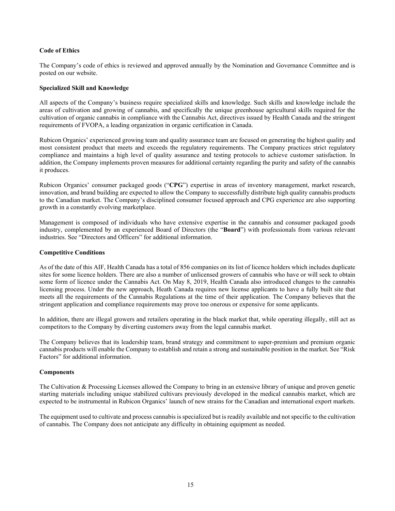#### **Code of Ethics**

The Company's code of ethics is reviewed and approved annually by the Nomination and Governance Committee and is posted on our website.

#### **Specialized Skill and Knowledge**

All aspects of the Company's business require specialized skills and knowledge. Such skills and knowledge include the areas of cultivation and growing of cannabis, and specifically the unique greenhouse agricultural skills required for the cultivation of organic cannabis in compliance with the Cannabis Act, directives issued by Health Canada and the stringent requirements of FVOPA, a leading organization in organic certification in Canada.

Rubicon Organics' experienced growing team and quality assurance team are focused on generating the highest quality and most consistent product that meets and exceeds the regulatory requirements. The Company practices strict regulatory compliance and maintains a high level of quality assurance and testing protocols to achieve customer satisfaction. In addition, the Company implements proven measures for additional certainty regarding the purity and safety of the cannabis it produces.

Rubicon Organics' consumer packaged goods ("**CPG**") expertise in areas of inventory management, market research, innovation, and brand building are expected to allow the Company to successfully distribute high quality cannabis products to the Canadian market. The Company's disciplined consumer focused approach and CPG experience are also supporting growth in a constantly evolving marketplace.

Management is composed of individuals who have extensive expertise in the cannabis and consumer packaged goods industry, complemented by an experienced Board of Directors (the "**Board**") with professionals from various relevant industries. See "Directors and Officers" for additional information.

#### **Competitive Conditions**

As of the date of this AIF, Health Canada has a total of 856 companies on its list of licence holders which includes duplicate sites for some licence holders. There are also a number of unlicensed growers of cannabis who have or will seek to obtain some form of licence under the Cannabis Act. On May 8, 2019, Health Canada also introduced changes to the cannabis licensing process. Under the new approach, Heath Canada requires new license applicants to have a fully built site that meets all the requirements of the Cannabis Regulations at the time of their application. The Company believes that the stringent application and compliance requirements may prove too onerous or expensive for some applicants.

In addition, there are illegal growers and retailers operating in the black market that, while operating illegally, still act as competitors to the Company by diverting customers away from the legal cannabis market.

The Company believes that its leadership team, brand strategy and commitment to super-premium and premium organic cannabis products will enable the Company to establish and retain a strong and sustainable position in the market. See "Risk Factors" for additional information.

#### **Components**

The Cultivation & Processing Licenses allowed the Company to bring in an extensive library of unique and proven genetic starting materials including unique stabilized cultivars previously developed in the medical cannabis market, which are expected to be instrumental in Rubicon Organics' launch of new strains for the Canadian and international export markets.

The equipment used to cultivate and process cannabis is specialized but is readily available and not specific to the cultivation of cannabis. The Company does not anticipate any difficulty in obtaining equipment as needed.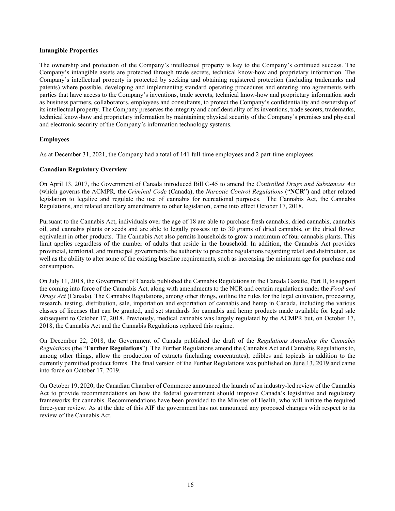#### **Intangible Properties**

The ownership and protection of the Company's intellectual property is key to the Company's continued success. The Company's intangible assets are protected through trade secrets, technical know-how and proprietary information. The Company's intellectual property is protected by seeking and obtaining registered protection (including trademarks and patents) where possible, developing and implementing standard operating procedures and entering into agreements with parties that have access to the Company's inventions, trade secrets, technical know-how and proprietary information such as business partners, collaborators, employees and consultants, to protect the Company's confidentiality and ownership of its intellectual property. The Company preserves the integrity and confidentiality of its inventions, trade secrets, trademarks, technical know-how and proprietary information by maintaining physical security of the Company's premises and physical and electronic security of the Company's information technology systems.

#### **Employees**

As at December 31, 2021, the Company had a total of 141 full-time employees and 2 part-time employees.

#### **Canadian Regulatory Overview**

On April 13, 2017, the Government of Canada introduced Bill C-45 to amend the *Controlled Drugs and Substances Act* (which governs the ACMPR*,* the *Criminal Code* (Canada), the *Narcotic Control Regulations* ("**NCR**") and other related legislation to legalize and regulate the use of cannabis for recreational purposes. The Cannabis Act, the Cannabis Regulations, and related ancillary amendments to other legislation, came into effect October 17, 2018.

Pursuant to the Cannabis Act, individuals over the age of 18 are able to purchase fresh cannabis, dried cannabis, cannabis oil, and cannabis plants or seeds and are able to legally possess up to 30 grams of dried cannabis, or the dried flower equivalent in other products. The Cannabis Act also permits households to grow a maximum of four cannabis plants. This limit applies regardless of the number of adults that reside in the household. In addition, the Cannabis Act provides provincial, territorial, and municipal governments the authority to prescribe regulations regarding retail and distribution, as well as the ability to alter some of the existing baseline requirements, such as increasing the minimum age for purchase and consumption.

On July 11, 2018, the Government of Canada published the Cannabis Regulations in the Canada Gazette, Part II, to support the coming into force of the Cannabis Act, along with amendments to the NCR and certain regulations under the *Food and Drugs Act* (Canada). The Cannabis Regulations, among other things, outline the rules for the legal cultivation, processing, research, testing, distribution, sale, importation and exportation of cannabis and hemp in Canada, including the various classes of licenses that can be granted, and set standards for cannabis and hemp products made available for legal sale subsequent to October 17, 2018. Previously, medical cannabis was largely regulated by the ACMPR but, on October 17, 2018, the Cannabis Act and the Cannabis Regulations replaced this regime.

On December 22, 2018, the Government of Canada published the draft of the *Regulations Amending the Cannabis Regulations* (the "**Further Regulations**"). The Further Regulations amend the Cannabis Act and Cannabis Regulations to, among other things, allow the production of extracts (including concentrates), edibles and topicals in addition to the currently permitted product forms. The final version of the Further Regulations was published on June 13, 2019 and came into force on October 17, 2019.

On October 19, 2020, the Canadian Chamber of Commerce announced the launch of an industry-led review of the Cannabis Act to provide recommendations on how the federal government should improve Canada's legislative and regulatory frameworks for cannabis. Recommendations have been provided to the Minister of Health, who will initiate the required three-year review. As at the date of this AIF the government has not announced any proposed changes with respect to its review of the Cannabis Act.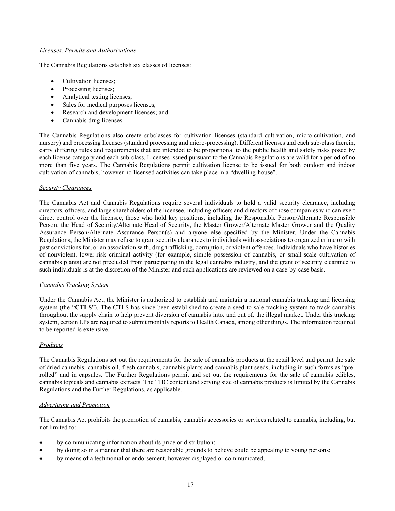#### *Licenses, Permits and Authorizations*

The Cannabis Regulations establish six classes of licenses:

- Cultivation licenses;
- Processing licenses;
- Analytical testing licenses;
- Sales for medical purposes licenses;
- Research and development licenses; and
- Cannabis drug licenses.

The Cannabis Regulations also create subclasses for cultivation licenses (standard cultivation, micro-cultivation, and nursery) and processing licenses (standard processing and micro-processing). Different licenses and each sub-class therein, carry differing rules and requirements that are intended to be proportional to the public health and safety risks posed by each license category and each sub-class. Licenses issued pursuant to the Cannabis Regulations are valid for a period of no more than five years. The Cannabis Regulations permit cultivation license to be issued for both outdoor and indoor cultivation of cannabis, however no licensed activities can take place in a "dwelling-house".

#### *Security Clearances*

The Cannabis Act and Cannabis Regulations require several individuals to hold a valid security clearance, including directors, officers, and large shareholders of the licensee, including officers and directors of those companies who can exert direct control over the licensee, those who hold key positions, including the Responsible Person/Alternate Responsible Person, the Head of Security/Alternate Head of Security, the Master Grower/Alternate Master Grower and the Quality Assurance Person/Alternate Assurance Person(s) and anyone else specified by the Minister. Under the Cannabis Regulations, the Minister may refuse to grant security clearances to individuals with associations to organized crime or with past convictions for, or an association with, drug trafficking, corruption, or violent offences. Individuals who have histories of nonviolent, lower-risk criminal activity (for example, simple possession of cannabis, or small-scale cultivation of cannabis plants) are not precluded from participating in the legal cannabis industry, and the grant of security clearance to such individuals is at the discretion of the Minister and such applications are reviewed on a case-by-case basis.

#### *Cannabis Tracking System*

Under the Cannabis Act, the Minister is authorized to establish and maintain a national cannabis tracking and licensing system (the "**CTLS**"). The CTLS has since been established to create a seed to sale tracking system to track cannabis throughout the supply chain to help prevent diversion of cannabis into, and out of, the illegal market. Under this tracking system, certain LPs are required to submit monthly reports to Health Canada, among other things. The information required to be reported is extensive.

#### *Products*

The Cannabis Regulations set out the requirements for the sale of cannabis products at the retail level and permit the sale of dried cannabis, cannabis oil, fresh cannabis, cannabis plants and cannabis plant seeds, including in such forms as "prerolled" and in capsules. The Further Regulations permit and set out the requirements for the sale of cannabis edibles, cannabis topicals and cannabis extracts. The THC content and serving size of cannabis products is limited by the Cannabis Regulations and the Further Regulations, as applicable.

#### *Advertising and Promotion*

The Cannabis Act prohibits the promotion of cannabis, cannabis accessories or services related to cannabis, including, but not limited to:

- by communicating information about its price or distribution;
- by doing so in a manner that there are reasonable grounds to believe could be appealing to young persons;
- by means of a testimonial or endorsement, however displayed or communicated;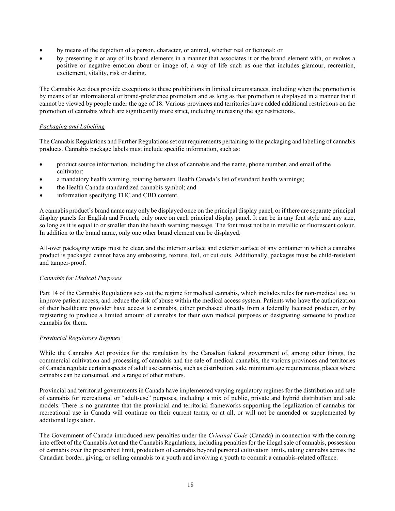- by means of the depiction of a person, character, or animal, whether real or fictional; or
- by presenting it or any of its brand elements in a manner that associates it or the brand element with, or evokes a positive or negative emotion about or image of, a way of life such as one that includes glamour, recreation, excitement, vitality, risk or daring.

The Cannabis Act does provide exceptions to these prohibitions in limited circumstances, including when the promotion is by means of an informational or brand-preference promotion and as long as that promotion is displayed in a manner that it cannot be viewed by people under the age of 18. Various provinces and territories have added additional restrictions on the promotion of cannabis which are significantly more strict, including increasing the age restrictions.

# *Packaging and Labelling*

The Cannabis Regulations and Further Regulations set out requirements pertaining to the packaging and labelling of cannabis products. Cannabis package labels must include specific information, such as:

- product source information, including the class of cannabis and the name, phone number, and email of the cultivator;
- a mandatory health warning, rotating between Health Canada's list of standard health warnings;
- the Health Canada standardized cannabis symbol; and
- information specifying THC and CBD content.

A cannabis product's brand name may only be displayed once on the principal display panel, or if there are separate principal display panels for English and French, only once on each principal display panel. It can be in any font style and any size, so long as it is equal to or smaller than the health warning message. The font must not be in metallic or fluorescent colour. In addition to the brand name, only one other brand element can be displayed.

All-over packaging wraps must be clear, and the interior surface and exterior surface of any container in which a cannabis product is packaged cannot have any embossing, texture, foil, or cut outs. Additionally, packages must be child-resistant and tamper-proof.

#### *Cannabis for Medical Purposes*

Part 14 of the Cannabis Regulations sets out the regime for medical cannabis, which includes rules for non-medical use, to improve patient access, and reduce the risk of abuse within the medical access system. Patients who have the authorization of their healthcare provider have access to cannabis, either purchased directly from a federally licensed producer, or by registering to produce a limited amount of cannabis for their own medical purposes or designating someone to produce cannabis for them.

#### *Provincial Regulatory Regimes*

While the Cannabis Act provides for the regulation by the Canadian federal government of, among other things, the commercial cultivation and processing of cannabis and the sale of medical cannabis, the various provinces and territories of Canada regulate certain aspects of adult use cannabis, such as distribution, sale, minimum age requirements, places where cannabis can be consumed, and a range of other matters.

Provincial and territorial governments in Canada have implemented varying regulatory regimes for the distribution and sale of cannabis for recreational or "adult-use" purposes, including a mix of public, private and hybrid distribution and sale models. There is no guarantee that the provincial and territorial frameworks supporting the legalization of cannabis for recreational use in Canada will continue on their current terms, or at all, or will not be amended or supplemented by additional legislation.

The Government of Canada introduced new penalties under the *Criminal Code* (Canada) in connection with the coming into effect of the Cannabis Act and the Cannabis Regulations, including penalties for the illegal sale of cannabis, possession of cannabis over the prescribed limit, production of cannabis beyond personal cultivation limits, taking cannabis across the Canadian border, giving, or selling cannabis to a youth and involving a youth to commit a cannabis-related offence.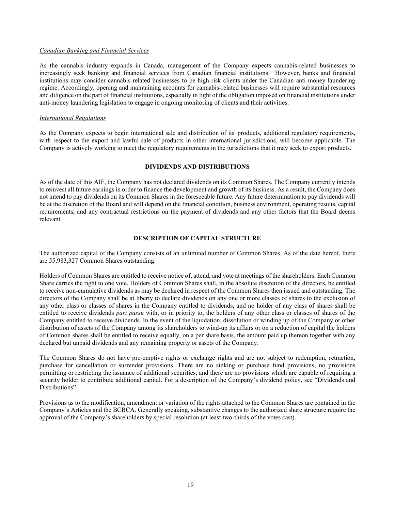#### *Canadian Banking and Financial Services*

As the cannabis industry expands in Canada, management of the Company expects cannabis-related businesses to increasingly seek banking and financial services from Canadian financial institutions. However, banks and financial institutions may consider cannabis-related businesses to be high-risk clients under the Canadian anti-money laundering regime. Accordingly, opening and maintaining accounts for cannabis-related businesses will require substantial resources and diligence on the part of financial institutions, especially in light of the obligation imposed on financial institutions under anti-money laundering legislation to engage in ongoing monitoring of clients and their activities.

#### *International Regulations*

As the Company expects to begin international sale and distribution of its' products, additional regulatory requirements, with respect to the export and lawful sale of products in other international jurisdictions, will become applicable. The Company is actively working to meet the regulatory requirements in the jurisdictions that it may seek to export products.

#### **DIVIDENDS AND DISTRIBUTIONS**

<span id="page-20-0"></span>As of the date of this AIF, the Company has not declared dividends on its Common Shares. The Company currently intends to reinvest all future earnings in order to finance the development and growth of its business. As a result, the Company does not intend to pay dividends on its Common Shares in the foreseeable future. Any future determination to pay dividends will be at the discretion of the Board and will depend on the financial condition, business environment, operating results, capital requirements, and any contractual restrictions on the payment of dividends and any other factors that the Board deems relevant.

#### **DESCRIPTION OF CAPITAL STRUCTURE**

<span id="page-20-1"></span>The authorized capital of the Company consists of an unlimited number of Common Shares. As of the date hereof, there are 55,983,327 Common Shares outstanding.

Holders of Common Shares are entitled to receive notice of, attend, and vote at meetings of the shareholders. Each Common Share carries the right to one vote. Holders of Common Shares shall, in the absolute discretion of the directors, be entitled to receive non-cumulative dividends as may be declared in respect of the Common Shares then issued and outstanding. The directors of the Company shall be at liberty to declare dividends on any one or more classes of shares to the exclusion of any other class or classes of shares in the Company entitled to dividends, and no holder of any class of shares shall be entitled to receive dividends *pari passu* with, or in priority to, the holders of any other class or classes of shares of the Company entitled to receive dividends. In the event of the liquidation, dissolution or winding up of the Company or other distribution of assets of the Company among its shareholders to wind-up its affairs or on a reduction of capital the holders of Common shares shall be entitled to receive equally, on a per share basis, the amount paid up thereon together with any declared but unpaid dividends and any remaining property or assets of the Company.

The Common Shares do not have pre-emptive rights or exchange rights and are not subject to redemption, retraction, purchase for cancellation or surrender provisions. There are no sinking or purchase fund provisions, no provisions permitting or restricting the issuance of additional securities, and there are no provisions which are capable of requiring a security holder to contribute additional capital. For a description of the Company's dividend policy, see "Dividends and Distributions".

Provisions as to the modification, amendment or variation of the rights attached to the Common Shares are contained in the Company's Articles and the BCBCA. Generally speaking, substantive changes to the authorized share structure require the approval of the Company's shareholders by special resolution (at least two-thirds of the votes cast).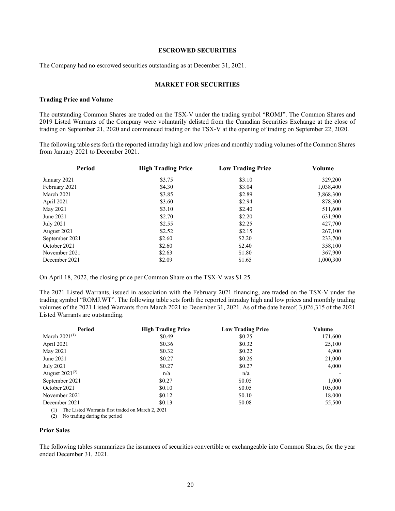## **ESCROWED SECURITIES**

<span id="page-21-0"></span>The Company had no escrowed securities outstanding as at December 31, 2021.

#### **MARKET FOR SECURITIES**

#### **Trading Price and Volume**

The outstanding Common Shares are traded on the TSX-V under the trading symbol "ROMJ". The Common Shares and 2019 Listed Warrants of the Company were voluntarily delisted from the Canadian Securities Exchange at the close of trading on September 21, 2020 and commenced trading on the TSX-V at the opening of trading on September 22, 2020.

The following table sets forth the reported intraday high and low prices and monthly trading volumes of the Common Shares from January 2021 to December 2021.

| Period         | <b>High Trading Price</b> | <b>Low Trading Price</b> | Volume    |
|----------------|---------------------------|--------------------------|-----------|
| January 2021   | \$3.75                    | \$3.10                   | 329,200   |
| February 2021  | \$4.30                    | \$3.04                   | 1,038,400 |
| March 2021     | \$3.85                    | \$2.89                   | 3,868,300 |
| April 2021     | \$3.60                    | \$2.94                   | 878,300   |
| May 2021       | \$3.10                    | \$2.40                   | 511,600   |
| June 2021      | \$2.70                    | \$2.20                   | 631,900   |
| July 2021      | \$2.55                    | \$2.25                   | 427,700   |
| August 2021    | \$2.52                    | \$2.15                   | 267,100   |
| September 2021 | \$2.60                    | \$2.20                   | 233,700   |
| October 2021   | \$2.60                    | \$2.40                   | 358,100   |
| November 2021  | \$2.63                    | \$1.80                   | 367,900   |
| December 2021  | \$2.09                    | \$1.65                   | 1,000,300 |

On April 18, 2022, the closing price per Common Share on the TSX-V was \$1.25.

The 2021 Listed Warrants, issued in association with the February 2021 financing, are traded on the TSX-V under the trading symbol "ROMJ.WT". The following table sets forth the reported intraday high and low prices and monthly trading volumes of the 2021 Listed Warrants from March 2021 to December 31, 2021. As of the date hereof, 3,026,315 of the 2021 Listed Warrants are outstanding.

| Period              | <b>High Trading Price</b> | <b>Low Trading Price</b> | Volume  |
|---------------------|---------------------------|--------------------------|---------|
| March $2021^{(1)}$  | \$0.49                    | \$0.25                   | 171,600 |
| April 2021          | \$0.36                    | \$0.32                   | 25,100  |
| May 2021            | \$0.32                    | \$0.22                   | 4,900   |
| June 2021           | \$0.27                    | \$0.26                   | 21,000  |
| July 2021           | \$0.27                    | \$0.27                   | 4,000   |
| August $2021^{(2)}$ | n/a                       | n/a                      |         |
| September 2021      | \$0.27                    | \$0.05                   | 1,000   |
| October 2021        | \$0.10                    | \$0.05                   | 105,000 |
| November 2021       | \$0.12                    | \$0.10                   | 18,000  |
| December 2021       | \$0.13                    | \$0.08                   | 55,500  |

(1) The Listed Warrants first traded on March 2, 2021

(2) No trading during the period

#### **Prior Sales**

The following tables summarizes the issuances of securities convertible or exchangeable into Common Shares, for the year ended December 31, 2021.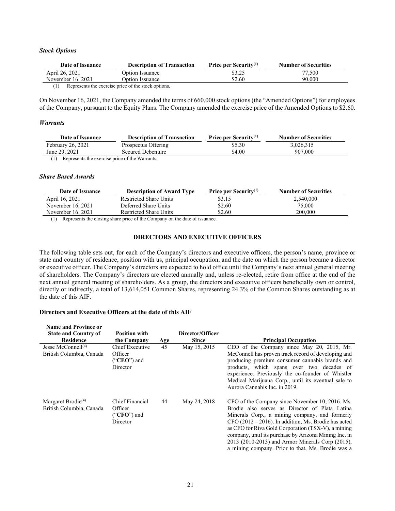#### *Stock Options*

| Date of Issuance  | <b>Description of Transaction</b>                   | <b>Price per Security</b> <sup>(1)</sup> | <b>Number of Securities</b> |
|-------------------|-----------------------------------------------------|------------------------------------------|-----------------------------|
| April 26, 2021    | Option Issuance                                     | \$3.25                                   | 77,500                      |
| November 16, 2021 | Option Issuance                                     | \$2.60                                   | 90,000                      |
|                   | Represents the exercise price of the stock options. |                                          |                             |

On November 16, 2021, the Company amended the terms of 660,000 stock options (the "Amended Options") for employees of the Company, pursuant to the Equity Plans. The Company amended the exercise price of the Amended Options to \$2.60.

#### *Warrants*

| Date of Issuance                                               | <b>Description of Transaction</b> | Price per Security <sup>(1)</sup> | <b>Number of Securities</b> |
|----------------------------------------------------------------|-----------------------------------|-----------------------------------|-----------------------------|
| February 26, 2021                                              | Prospectus Offering               | \$5.30                            | 3.026.315                   |
| June 29, 2021                                                  | Secured Debenture                 | \$4.00                            | 907,000                     |
| $(1)$ Denote the constantial and $\mathbf{f}$ and $\mathbf{W}$ |                                   |                                   |                             |

(1) Represents the exercise price of the Warrants.

#### *Share Based Awards*

| <b>Description of Award Type</b> | Price per Security <sup>(1)</sup> | <b>Number of Securities</b> |
|----------------------------------|-----------------------------------|-----------------------------|
| <b>Restricted Share Units</b>    | \$3.15                            | 2,540,000                   |
| Deferred Share Units             | \$2.60                            | 75,000                      |
| <b>Restricted Share Units</b>    | \$2.60                            | 200,000                     |
|                                  |                                   |                             |

<span id="page-22-0"></span>(1) Represents the closing share price of the Company on the date of issuance.

#### **DIRECTORS AND EXECUTIVE OFFICERS**

The following table sets out, for each of the Company's directors and executive officers, the person's name, province or state and country of residence, position with us, principal occupation, and the date on which the person became a director or executive officer. The Company's directors are expected to hold office until the Company's next annual general meeting of shareholders. The Company's directors are elected annually and, unless re-elected, retire from office at the end of the next annual general meeting of shareholders. As a group, the directors and executive officers beneficially own or control, directly or indirectly, a total of 13,614,051 Common Shares, representing 24.3% of the Common Shares outstanding as at the date of this AIF.

#### **Directors and Executive Officers at the date of this AIF**

| <b>Name and Province or</b>                                |                                                         |     |                  |                                                                                                                                                                                                                                                                                                                                                                                                                                        |
|------------------------------------------------------------|---------------------------------------------------------|-----|------------------|----------------------------------------------------------------------------------------------------------------------------------------------------------------------------------------------------------------------------------------------------------------------------------------------------------------------------------------------------------------------------------------------------------------------------------------|
| <b>State and Country of</b>                                | <b>Position with</b>                                    |     | Director/Officer |                                                                                                                                                                                                                                                                                                                                                                                                                                        |
| <b>Residence</b>                                           | the Company                                             | Age | <b>Since</b>     | <b>Principal Occupation</b>                                                                                                                                                                                                                                                                                                                                                                                                            |
| Jesse McConnell <sup>(4)</sup><br>British Columbia, Canada | Chief Executive<br>Officer<br>$("CEO")$ and<br>Director | 45  | May 15, 2015     | CEO of the Company since May 20, 2015, Mr.<br>McConnell has proven track record of developing and<br>producing premium consumer cannabis brands and<br>products, which spans over two decades of<br>experience. Previously the co-founder of Whistler<br>Medical Marijuana Corp., until its eventual sale to<br>Aurora Cannabis Inc. in 2019.                                                                                          |
| Margaret Brodie $(4)$<br>British Columbia, Canada          | Chief Financial<br>Officer<br>$("CFO")$ and<br>Director | 44  | May 24, 2018     | CFO of the Company since November 10, 2016. Ms.<br>Brodie also serves as Director of Plata Latina<br>Minerals Corp., a mining company, and formerly<br>$CFO (2012 – 2016)$ . In addition, Ms. Brodie has acted<br>as CFO for Riva Gold Corporation (TSX-V), a mining<br>company, until its purchase by Arizona Mining Inc. in<br>2013 (2010-2013) and Armor Minerals Corp (2015),<br>a mining company. Prior to that, Ms. Brodie was a |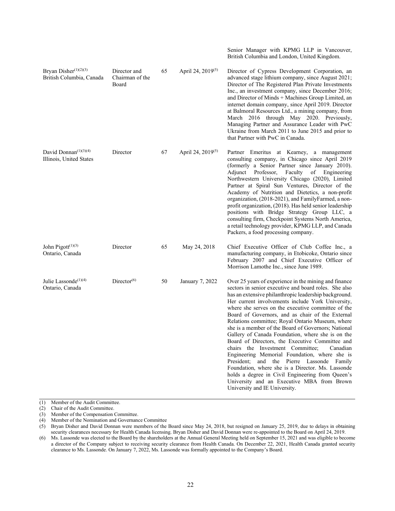Bryan Disher<sup>(1)(2)(3)</sup> British Columbia, Canada Director and Chairman of the Board 65 April 24, 2019(5) Director of Cypress Development Corporation, an advanced stage lithium company, since August 2021; Director of The Registered Plan Private Investments Inc., an investment company, since December 2016; and Director of Minds + Machines Group Limited, an internet domain company, since April 2019. Director at Balmoral Resources Ltd., a mining company, from March 2016 through May 2020. Previously, Managing Partner and Assurance Leader with PwC Ukraine from March 2011 to June 2015 and prior to that Partner with PwC in Canada. David Donnan<sup>(1)(3)(4)</sup> Illinois, United States Director 67 April 24, 2019<sup>(5)</sup> Partner Emeritus at Kearney, a management consulting company, in Chicago since April 2019 (formerly a Senior Partner since January 2010). Adjunct Professor, Faculty of Engineering Northwestern University Chicago (2020), Limited Partner at Spiral Sun Ventures, Director of the Academy of Nutrition and Dietetics, a non-profit organization, (2018-2021), and FamilyFarmed, a nonprofit organization, (2018). Has held senior leadership positions with Bridge Strategy Group LLC, a consulting firm, Checkpoint Systems North America, a retail technology provider, KPMG LLP, and Canada Packers, a food processing company. John Pigott $(1)(3)$ Ontario, Canada Director 65 May 24, 2018 Chief Executive Officer of Club Coffee Inc., a manufacturing company, in Etobicoke, Ontario since February 2007 and Chief Executive Officer of Morrison Lamothe Inc., since June 1989. Julie Lassonde<sup>(1)(4)</sup> Ontario, Canada Director<sup>(6)</sup> 50 January 7, 2022 Over 25 years of experience in the mining and finance sectors in senior executive and board roles. She also has an extensive philanthropic leadership background. Her current involvements include York University, where she serves on the executive committee of the Board of Governors, and as chair of the External Relations committee; Royal Ontario Museum, where she is a member of the Board of Governors; National Gallery of Canada Foundation, where she is on the Board of Directors, the Executive Committee and chairs the Investment Committee; Canadian Engineering Memorial Foundation, where she is President; and the Pierre Lassonde Family Foundation, where she is a Director. Ms. Lassonde holds a degree in Civil Engineering from Queen's University and an Executive MBA from Brown University and IE University.

Senior Manager with KPMG LLP in Vancouver, British Columbia and London, United Kingdom.

(1) Member of the Audit Committee.

(2) Chair of the Audit Committee.

(3) Member of the Compensation Committee.

(4) Member of the Nomination and Governance Committee

(5) Bryan Disher and David Donnan were members of the Board since May 24, 2018, but resigned on January 25, 2019, due to delays in obtaining security clearances necessary for Health Canada licensing. Bryan Disher and David Donnan were re-appointed to the Board on April 24, 2019.

(6) Ms. Lassonde was elected to the Board by the shareholders at the Annual General Meeting held on September 15, 2021 and was eligible to become a director of the Company subject to receiving security clearance from Health Canada. On December 22, 2021, Health Canada granted security clearance to Ms. Lassonde. On January 7, 2022, Ms. Lassonde was formally appointed to the Company's Board.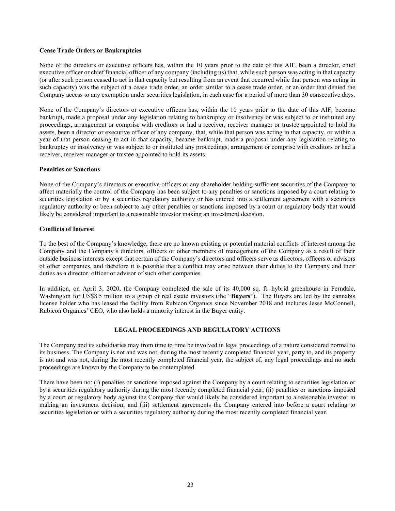#### **Cease Trade Orders or Bankruptcies**

None of the directors or executive officers has, within the 10 years prior to the date of this AIF, been a director, chief executive officer or chief financial officer of any company (including us) that, while such person was acting in that capacity (or after such person ceased to act in that capacity but resulting from an event that occurred while that person was acting in such capacity) was the subject of a cease trade order, an order similar to a cease trade order, or an order that denied the Company access to any exemption under securities legislation, in each case for a period of more than 30 consecutive days.

None of the Company's directors or executive officers has, within the 10 years prior to the date of this AIF, become bankrupt, made a proposal under any legislation relating to bankruptcy or insolvency or was subject to or instituted any proceedings, arrangement or comprise with creditors or had a receiver, receiver manager or trustee appointed to hold its assets, been a director or executive officer of any company, that, while that person was acting in that capacity, or within a year of that person ceasing to act in that capacity, became bankrupt, made a proposal under any legislation relating to bankruptcy or insolvency or was subject to or instituted any proceedings, arrangement or comprise with creditors or had a receiver, receiver manager or trustee appointed to hold its assets.

#### **Penalties or Sanctions**

None of the Company's directors or executive officers or any shareholder holding sufficient securities of the Company to affect materially the control of the Company has been subject to any penalties or sanctions imposed by a court relating to securities legislation or by a securities regulatory authority or has entered into a settlement agreement with a securities regulatory authority or been subject to any other penalties or sanctions imposed by a court or regulatory body that would likely be considered important to a reasonable investor making an investment decision.

#### **Conflicts of Interest**

To the best of the Company's knowledge, there are no known existing or potential material conflicts of interest among the Company and the Company's directors, officers or other members of management of the Company as a result of their outside business interests except that certain of the Company's directors and officers serve as directors, officers or advisors of other companies, and therefore it is possible that a conflict may arise between their duties to the Company and their duties as a director, officer or advisor of such other companies.

In addition, on April 3, 2020, the Company completed the sale of its 40,000 sq. ft. hybrid greenhouse in Ferndale, Washington for US\$8.5 million to a group of real estate investors (the "**Buyers**"). The Buyers are led by the cannabis license holder who has leased the facility from Rubicon Organics since November 2018 and includes Jesse McConnell, Rubicon Organics' CEO, who also holds a minority interest in the Buyer entity.

# **LEGAL PROCEEDINGS AND REGULATORY ACTIONS**

<span id="page-24-0"></span>The Company and its subsidiaries may from time to time be involved in legal proceedings of a nature considered normal to its business. The Company is not and was not, during the most recently completed financial year, party to, and its property is not and was not, during the most recently completed financial year, the subject of, any legal proceedings and no such proceedings are known by the Company to be contemplated.

There have been no: (i) penalties or sanctions imposed against the Company by a court relating to securities legislation or by a securities regulatory authority during the most recently completed financial year; (ii) penalties or sanctions imposed by a court or regulatory body against the Company that would likely be considered important to a reasonable investor in making an investment decision; and (iii) settlement agreements the Company entered into before a court relating to securities legislation or with a securities regulatory authority during the most recently completed financial year.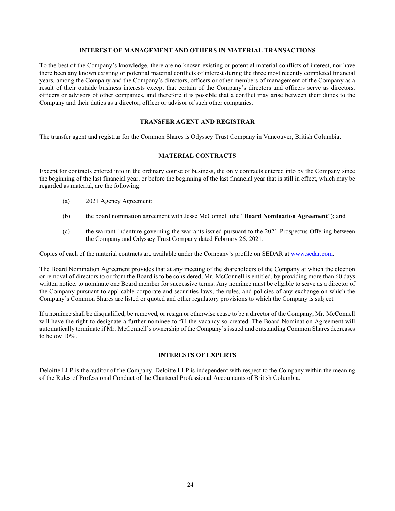# **INTEREST OF MANAGEMENT AND OTHERS IN MATERIAL TRANSACTIONS**

<span id="page-25-0"></span>To the best of the Company's knowledge, there are no known existing or potential material conflicts of interest, nor have there been any known existing or potential material conflicts of interest during the three most recently completed financial years, among the Company and the Company's directors, officers or other members of management of the Company as a result of their outside business interests except that certain of the Company's directors and officers serve as directors, officers or advisors of other companies, and therefore it is possible that a conflict may arise between their duties to the Company and their duties as a director, officer or advisor of such other companies.

# **TRANSFER AGENT AND REGISTRAR**

<span id="page-25-2"></span><span id="page-25-1"></span>The transfer agent and registrar for the Common Shares is Odyssey Trust Company in Vancouver, British Columbia.

#### **MATERIAL CONTRACTS**

Except for contracts entered into in the ordinary course of business, the only contracts entered into by the Company since the beginning of the last financial year, or before the beginning of the last financial year that is still in effect, which may be regarded as material, are the following:

- (a) 2021 Agency Agreement;
- (b) the board nomination agreement with Jesse McConnell (the "**Board Nomination Agreement**"); and
- (c) the warrant indenture governing the warrants issued pursuant to the 2021 Prospectus Offering between the Company and Odyssey Trust Company dated February 26, 2021.

Copies of each of the material contracts are available under the Company's profile on SEDAR at [www.sedar.com.](http://www.sedar.com/)

The Board Nomination Agreement provides that at any meeting of the shareholders of the Company at which the election or removal of directors to or from the Board is to be considered, Mr. McConnell is entitled, by providing more than 60 days written notice, to nominate one Board member for successive terms. Any nominee must be eligible to serve as a director of the Company pursuant to applicable corporate and securities laws, the rules, and policies of any exchange on which the Company's Common Shares are listed or quoted and other regulatory provisions to which the Company is subject.

If a nominee shall be disqualified, be removed, or resign or otherwise cease to be a director of the Company, Mr. McConnell will have the right to designate a further nominee to fill the vacancy so created. The Board Nomination Agreement will automatically terminate if Mr. McConnell's ownership of the Company's issued and outstanding Common Shares decreases to below 10%.

# **INTERESTS OF EXPERTS**

<span id="page-25-3"></span>Deloitte LLP is the auditor of the Company. Deloitte LLP is independent with respect to the Company within the meaning of the Rules of Professional Conduct of the Chartered Professional Accountants of British Columbia.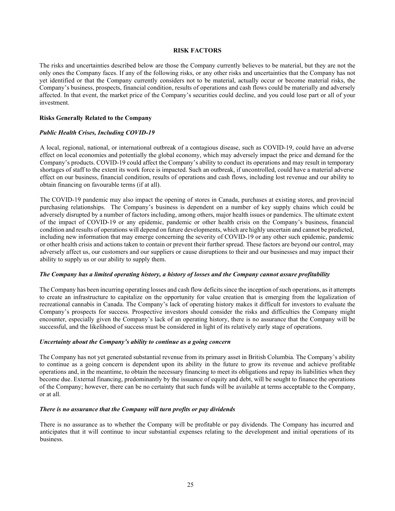#### **RISK FACTORS**

<span id="page-26-0"></span>The risks and uncertainties described below are those the Company currently believes to be material, but they are not the only ones the Company faces. If any of the following risks, or any other risks and uncertainties that the Company has not yet identified or that the Company currently considers not to be material, actually occur or become material risks, the Company's business, prospects, financial condition, results of operations and cash flows could be materially and adversely affected. In that event, the market price of the Company's securities could decline, and you could lose part or all of your investment.

#### **Risks Generally Related to the Company**

#### *Public Health Crises, Including COVID-19*

A local, regional, national, or international outbreak of a contagious disease, such as COVID-19, could have an adverse effect on local economies and potentially the global economy, which may adversely impact the price and demand for the Company's products. COVID-19 could affect the Company's ability to conduct its operations and may result in temporary shortages of staff to the extent its work force is impacted. Such an outbreak, if uncontrolled, could have a material adverse effect on our business, financial condition, results of operations and cash flows, including lost revenue and our ability to obtain financing on favourable terms (if at all).

The COVID-19 pandemic may also impact the opening of stores in Canada, purchases at existing stores, and provincial purchasing relationships. The Company's business is dependent on a number of key supply chains which could be adversely disrupted by a number of factors including, among others, major health issues or pandemics. The ultimate extent of the impact of COVID-19 or any epidemic, pandemic or other health crisis on the Company's business, financial condition and results of operations will depend on future developments, which are highly uncertain and cannot be predicted, including new information that may emerge concerning the severity of COVID-19 or any other such epidemic, pandemic or other health crisis and actions taken to contain or prevent their further spread. These factors are beyond our control, may adversely affect us, our customers and our suppliers or cause disruptions to their and our businesses and may impact their ability to supply us or our ability to supply them.

#### *The Company has a limited operating history, a history of losses and the Company cannot assure profitability*

The Company has been incurring operating losses and cash flow deficits since the inception of such operations, as it attempts to create an infrastructure to capitalize on the opportunity for value creation that is emerging from the legalization of recreational cannabis in Canada. The Company's lack of operating history makes it difficult for investors to evaluate the Company's prospects for success. Prospective investors should consider the risks and difficulties the Company might encounter, especially given the Company's lack of an operating history, there is no assurance that the Company will be successful, and the likelihood of success must be considered in light of its relatively early stage of operations.

#### *Uncertainty about the Company's ability to continue as a going concern*

The Company has not yet generated substantial revenue from its primary asset in British Columbia. The Company's ability to continue as a going concern is dependent upon its ability in the future to grow its revenue and achieve profitable operations and, in the meantime, to obtain the necessary financing to meet its obligations and repay its liabilities when they become due. External financing, predominantly by the issuance of equity and debt, will be sought to finance the operations of the Company; however, there can be no certainty that such funds will be available at terms acceptable to the Company, or at all.

#### *There is no assurance that the Company will turn profits or pay dividends*

There is no assurance as to whether the Company will be profitable or pay dividends. The Company has incurred and anticipates that it will continue to incur substantial expenses relating to the development and initial operations of its business.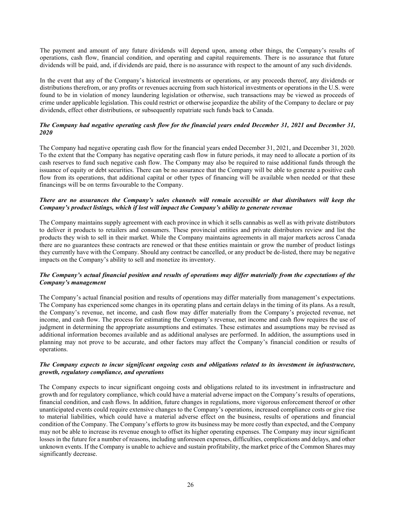The payment and amount of any future dividends will depend upon, among other things, the Company's results of operations, cash flow, financial condition, and operating and capital requirements. There is no assurance that future dividends will be paid, and, if dividends are paid, there is no assurance with respect to the amount of any such dividends.

In the event that any of the Company's historical investments or operations, or any proceeds thereof, any dividends or distributions therefrom, or any profits or revenues accruing from such historical investments or operations in the U.S. were found to be in violation of money laundering legislation or otherwise, such transactions may be viewed as proceeds of crime under applicable legislation. This could restrict or otherwise jeopardize the ability of the Company to declare or pay dividends, effect other distributions, or subsequently repatriate such funds back to Canada.

#### *The Company had negative operating cash flow for the financial years ended December 31, 2021 and December 31, 2020*

The Company had negative operating cash flow for the financial years ended December 31, 2021, and December 31, 2020. To the extent that the Company has negative operating cash flow in future periods, it may need to allocate a portion of its cash reserves to fund such negative cash flow. The Company may also be required to raise additional funds through the issuance of equity or debt securities. There can be no assurance that the Company will be able to generate a positive cash flow from its operations, that additional capital or other types of financing will be available when needed or that these financings will be on terms favourable to the Company.

#### *There are no assurances the Company's sales channels will remain accessible or that distributors will keep the Company's product listings, which if lost will impact the Company's ability to generate revenue*

The Company maintains supply agreement with each province in which it sells cannabis as well as with private distributors to deliver it products to retailers and consumers. These provincial entities and private distributors review and list the products they wish to sell in their market. While the Company maintains agreements in all major markets across Canada there are no guarantees these contracts are renewed or that these entities maintain or grow the number of product listings they currently have with the Company. Should any contract be cancelled, or any product be de-listed, there may be negative impacts on the Company's ability to sell and monetize its inventory.

# *The Company's actual financial position and results of operations may differ materially from the expectations of the Company's management*

The Company's actual financial position and results of operations may differ materially from management's expectations. The Company has experienced some changes in its operating plans and certain delays in the timing of its plans. As a result, the Company's revenue, net income, and cash flow may differ materially from the Company's projected revenue, net income, and cash flow. The process for estimating the Company's revenue, net income and cash flow requires the use of judgment in determining the appropriate assumptions and estimates. These estimates and assumptions may be revised as additional information becomes available and as additional analyses are performed. In addition, the assumptions used in planning may not prove to be accurate, and other factors may affect the Company's financial condition or results of operations.

#### *The Company expects to incur significant ongoing costs and obligations related to its investment in infrastructure, growth, regulatory compliance, and operations*

The Company expects to incur significant ongoing costs and obligations related to its investment in infrastructure and growth and for regulatory compliance, which could have a material adverse impact on the Company's results of operations, financial condition, and cash flows. In addition, future changes in regulations, more vigorous enforcement thereof or other unanticipated events could require extensive changes to the Company's operations, increased compliance costs or give rise to material liabilities, which could have a material adverse effect on the business, results of operations and financial condition of the Company. The Company's efforts to grow its business may be more costly than expected, and the Company may not be able to increase its revenue enough to offset its higher operating expenses. The Company may incur significant losses in the future for a number of reasons, including unforeseen expenses, difficulties, complications and delays, and other unknown events. If the Company is unable to achieve and sustain profitability, the market price of the Common Shares may significantly decrease.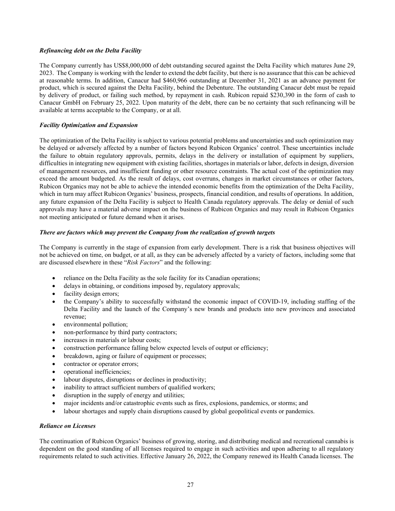#### *Refinancing debt on the Delta Facility*

The Company currently has US\$8,000,000 of debt outstanding secured against the Delta Facility which matures June 29, 2023. The Company is working with the lender to extend the debt facility, but there is no assurance that this can be achieved at reasonable terms. In addition, Canacur had \$460,966 outstanding at December 31, 2021 as an advance payment for product, which is secured against the Delta Facility, behind the Debenture. The outstanding Canacur debt must be repaid by delivery of product, or failing such method, by repayment in cash. Rubicon repaid \$230,390 in the form of cash to Canacur GmbH on February 25, 2022. Upon maturity of the debt, there can be no certainty that such refinancing will be available at terms acceptable to the Company, or at all.

#### *Facility Optimization and Expansion*

The optimization of the Delta Facility is subject to various potential problems and uncertainties and such optimization may be delayed or adversely affected by a number of factors beyond Rubicon Organics' control. These uncertainties include the failure to obtain regulatory approvals, permits, delays in the delivery or installation of equipment by suppliers, difficulties in integrating new equipment with existing facilities, shortages in materials or labor, defects in design, diversion of management resources, and insufficient funding or other resource constraints. The actual cost of the optimization may exceed the amount budgeted. As the result of delays, cost overruns, changes in market circumstances or other factors, Rubicon Organics may not be able to achieve the intended economic benefits from the optimization of the Delta Facility, which in turn may affect Rubicon Organics' business, prospects, financial condition, and results of operations. In addition, any future expansion of the Delta Facility is subject to Health Canada regulatory approvals. The delay or denial of such approvals may have a material adverse impact on the business of Rubicon Organics and may result in Rubicon Organics not meeting anticipated or future demand when it arises.

#### *There are factors which may prevent the Company from the realization of growth targets*

The Company is currently in the stage of expansion from early development. There is a risk that business objectives will not be achieved on time, on budget, or at all, as they can be adversely affected by a variety of factors, including some that are discussed elsewhere in these "*Risk Factors*" and the following:

- reliance on the Delta Facility as the sole facility for its Canadian operations;
- delays in obtaining, or conditions imposed by, regulatory approvals;
- facility design errors;
- the Company's ability to successfully withstand the economic impact of COVID-19, including staffing of the Delta Facility and the launch of the Company's new brands and products into new provinces and associated revenue;
- environmental pollution;
- non-performance by third party contractors;
- increases in materials or labour costs;
- construction performance falling below expected levels of output or efficiency;
- breakdown, aging or failure of equipment or processes;
- contractor or operator errors;
- operational inefficiencies;
- labour disputes, disruptions or declines in productivity;
- inability to attract sufficient numbers of qualified workers;
- disruption in the supply of energy and utilities;
- major incidents and/or catastrophic events such as fires, explosions, pandemics, or storms; and
- labour shortages and supply chain disruptions caused by global geopolitical events or pandemics.

#### *Reliance on Licenses*

The continuation of Rubicon Organics' business of growing, storing, and distributing medical and recreational cannabis is dependent on the good standing of all licenses required to engage in such activities and upon adhering to all regulatory requirements related to such activities. Effective January 26, 2022, the Company renewed its Health Canada licenses. The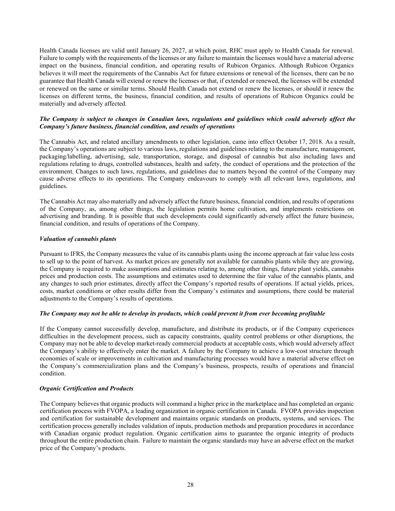Health Canada licenses are valid until January 26, 2027, at which point, RHC must apply to Health Canada for renewal. Failure to comply with the requirements of the licenses or any failure to maintain the licenses would have a material adverse impact on the business, financial condition, and operating results of Rubicon Organics. Although Rubicon Organics believes it will meet the requirements of the Cannabis Act for future extensions or renewal of the licenses, there can be no guarantee that Health Canada will extend or renew the licenses or that, if extended or renewed, the licenses will be extended or renewed on the same or similar terms. Should Health Canada not extend or renew the licenses, or should it renew the licenses on different terms, the business, financial condition, and results of operations of Rubicon Organics could be materially and adversely affected.

# *The Company is subject to changes in Canadian laws, regulations and guidelines which could adversely affect the Company's future business, financial condition, and results of operations*

The Cannabis Act, and related ancillary amendments to other legislation, came into effect October 17, 2018. As a result, the Company's operations are subject to various laws, regulations and guidelines relating to the manufacture, management, packaging/labelling, advertising, sale, transportation, storage, and disposal of cannabis but also including laws and regulations relating to drugs, controlled substances, health and safety, the conduct of operations and the protection of the environment. Changes to such laws, regulations, and guidelines due to matters beyond the control of the Company may cause adverse effects to its operations. The Company endeavours to comply with all relevant laws, regulations, and guidelines.

The Cannabis Act may also materially and adversely affect the future business, financial condition, and results of operations of the Company, as, among other things, the legislation permits home cultivation, and implements restrictions on advertising and branding. It is possible that such developments could significantly adversely affect the future business, financial condition, and results of operations of the Company.

#### *Valuation of cannabis plants*

Pursuant to IFRS, the Company measures the value of its cannabis plants using the income approach at fair value less costs to sell up to the point of harvest. As market prices are generally not available for cannabis plants while they are growing, the Company is required to make assumptions and estimates relating to, among other things, future plant yields, cannabis prices and production costs. The assumptions and estimates used to determine the fair value of the cannabis plants, and any changes to such prior estimates, directly affect the Company's reported results of operations. If actual yields, prices, costs, market conditions or other results differ from the Company's estimates and assumptions, there could be material adjustments to the Company's results of operations.

#### *The Company may not be able to develop its products, which could prevent it from ever becoming profitable*

If the Company cannot successfully develop, manufacture, and distribute its products, or if the Company experiences difficulties in the development process, such as capacity constraints, quality control problems or other disruptions, the Company may not be able to develop market-ready commercial products at acceptable costs, which would adversely affect the Company's ability to effectively enter the market. A failure by the Company to achieve a low-cost structure through economies of scale or improvements in cultivation and manufacturing processes would have a material adverse effect on the Company's commercialization plans and the Company's business, prospects, results of operations and financial condition.

#### *Organic Certification and Products*

The Company believes that organic products will command a higher price in the marketplace and has completed an organic certification process with FVOPA, a leading organization in organic certification in Canada. FVOPA provides inspection and certification for sustainable development and maintains organic standards on products, systems, and services. The certification process generally includes validation of inputs, production methods and preparation procedures in accordance with Canadian organic product regulation. Organic certification aims to guarantee the organic integrity of products throughout the entire production chain. Failure to maintain the organic standards may have an adverse effect on the market price of the Company's products.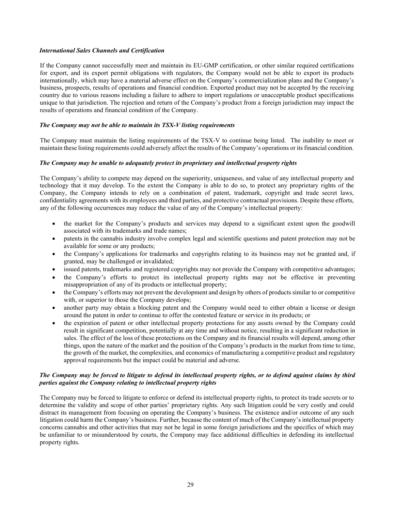#### *International Sales Channels and Certification*

If the Company cannot successfully meet and maintain its EU-GMP certification, or other similar required certifications for export, and its export permit obligations with regulators, the Company would not be able to export its products internationally, which may have a material adverse effect on the Company's commercialization plans and the Company's business, prospects, results of operations and financial condition. Exported product may not be accepted by the receiving country due to various reasons including a failure to adhere to import regulations or unacceptable product specifications unique to that jurisdiction. The rejection and return of the Company's product from a foreign jurisdiction may impact the results of operations and financial condition of the Company.

#### *The Company may not be able to maintain its TSX-V listing requirements*

The Company must maintain the listing requirements of the TSX-V to continue being listed. The inability to meet or maintain these listing requirements could adversely affect the results of the Company's operations or its financial condition.

#### *The Company may be unable to adequately protect its proprietary and intellectual property rights*

The Company's ability to compete may depend on the superiority, uniqueness, and value of any intellectual property and technology that it may develop. To the extent the Company is able to do so, to protect any proprietary rights of the Company, the Company intends to rely on a combination of patent, trademark, copyright and trade secret laws, confidentiality agreements with its employees and third parties, and protective contractual provisions. Despite these efforts, any of the following occurrences may reduce the value of any of the Company's intellectual property:

- the market for the Company's products and services may depend to a significant extent upon the goodwill associated with its trademarks and trade names;
- patents in the cannabis industry involve complex legal and scientific questions and patent protection may not be available for some or any products;
- the Company's applications for trademarks and copyrights relating to its business may not be granted and, if granted, may be challenged or invalidated;
- issued patents, trademarks and registered copyrights may not provide the Company with competitive advantages;
- the Company's efforts to protect its intellectual property rights may not be effective in preventing misappropriation of any of its products or intellectual property;
- the Company's efforts may not prevent the development and design by others of products similar to or competitive with, or superior to those the Company develops;
- another party may obtain a blocking patent and the Company would need to either obtain a license or design around the patent in order to continue to offer the contested feature or service in its products; or
- the expiration of patent or other intellectual property protections for any assets owned by the Company could result in significant competition, potentially at any time and without notice, resulting in a significant reduction in sales. The effect of the loss of these protections on the Company and its financial results will depend, among other things, upon the nature of the market and the position of the Company's products in the market from time to time, the growth of the market, the complexities, and economics of manufacturing a competitive product and regulatory approval requirements but the impact could be material and adverse.

#### *The Company may be forced to litigate to defend its intellectual property rights, or to defend against claims by third parties against the Company relating to intellectual property rights*

The Company may be forced to litigate to enforce or defend its intellectual property rights, to protect its trade secrets or to determine the validity and scope of other parties' proprietary rights. Any such litigation could be very costly and could distract its management from focusing on operating the Company's business. The existence and/or outcome of any such litigation could harm the Company's business. Further, because the content of much of the Company's intellectual property concerns cannabis and other activities that may not be legal in some foreign jurisdictions and the specifics of which may be unfamiliar to or misunderstood by courts, the Company may face additional difficulties in defending its intellectual property rights.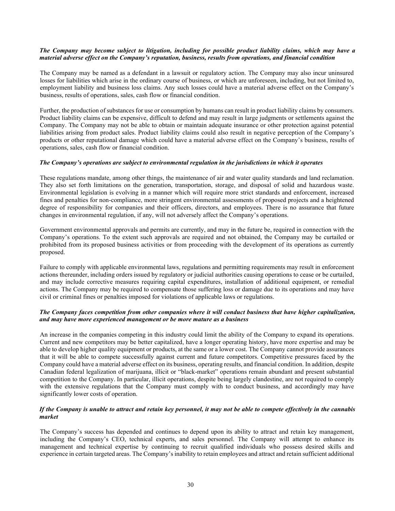#### *The Company may become subject to litigation, including for possible product liability claims, which may have a material adverse effect on the Company's reputation, business, results from operations, and financial condition*

The Company may be named as a defendant in a lawsuit or regulatory action. The Company may also incur uninsured losses for liabilities which arise in the ordinary course of business, or which are unforeseen, including, but not limited to, employment liability and business loss claims. Any such losses could have a material adverse effect on the Company's business, results of operations, sales, cash flow or financial condition.

Further, the production of substances for use or consumption by humans can result in product liability claims by consumers. Product liability claims can be expensive, difficult to defend and may result in large judgments or settlements against the Company. The Company may not be able to obtain or maintain adequate insurance or other protection against potential liabilities arising from product sales. Product liability claims could also result in negative perception of the Company's products or other reputational damage which could have a material adverse effect on the Company's business, results of operations, sales, cash flow or financial condition.

#### *The Company's operations are subject to environmental regulation in the jurisdictions in which it operates*

These regulations mandate, among other things, the maintenance of air and water quality standards and land reclamation. They also set forth limitations on the generation, transportation, storage, and disposal of solid and hazardous waste. Environmental legislation is evolving in a manner which will require more strict standards and enforcement, increased fines and penalties for non-compliance, more stringent environmental assessments of proposed projects and a heightened degree of responsibility for companies and their officers, directors, and employees. There is no assurance that future changes in environmental regulation, if any, will not adversely affect the Company's operations.

Government environmental approvals and permits are currently, and may in the future be, required in connection with the Company's operations. To the extent such approvals are required and not obtained, the Company may be curtailed or prohibited from its proposed business activities or from proceeding with the development of its operations as currently proposed.

Failure to comply with applicable environmental laws, regulations and permitting requirements may result in enforcement actions thereunder, including orders issued by regulatory or judicial authorities causing operations to cease or be curtailed, and may include corrective measures requiring capital expenditures, installation of additional equipment, or remedial actions. The Company may be required to compensate those suffering loss or damage due to its operations and may have civil or criminal fines or penalties imposed for violations of applicable laws or regulations.

## *The Company faces competition from other companies where it will conduct business that have higher capitalization, and may have more experienced management or be more mature as a business*

An increase in the companies competing in this industry could limit the ability of the Company to expand its operations. Current and new competitors may be better capitalized, have a longer operating history, have more expertise and may be able to develop higher quality equipment or products, at the same or a lower cost. The Company cannot provide assurances that it will be able to compete successfully against current and future competitors. Competitive pressures faced by the Company could have a material adverse effect on its business, operating results, and financial condition. In addition, despite Canadian federal legalization of marijuana, illicit or "black-market" operations remain abundant and present substantial competition to the Company. In particular, illicit operations, despite being largely clandestine, are not required to comply with the extensive regulations that the Company must comply with to conduct business, and accordingly may have significantly lower costs of operation.

#### *If the Company is unable to attract and retain key personnel, it may not be able to compete effectively in the cannabis market*

The Company's success has depended and continues to depend upon its ability to attract and retain key management, including the Company's CEO, technical experts, and sales personnel. The Company will attempt to enhance its management and technical expertise by continuing to recruit qualified individuals who possess desired skills and experience in certain targeted areas. The Company's inability to retain employees and attract and retain sufficient additional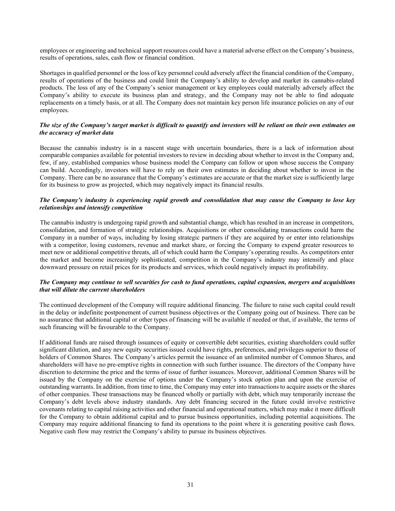employees or engineering and technical support resources could have a material adverse effect on the Company's business, results of operations, sales, cash flow or financial condition.

Shortages in qualified personnel or the loss of key personnel could adversely affect the financial condition of the Company, results of operations of the business and could limit the Company's ability to develop and market its cannabis-related products. The loss of any of the Company's senior management or key employees could materially adversely affect the Company's ability to execute its business plan and strategy, and the Company may not be able to find adequate replacements on a timely basis, or at all. The Company does not maintain key person life insurance policies on any of our employees.

#### *The size of the Company's target market is difficult to quantify and investors will be reliant on their own estimates on the accuracy of market data*

Because the cannabis industry is in a nascent stage with uncertain boundaries, there is a lack of information about comparable companies available for potential investors to review in deciding about whether to invest in the Company and, few, if any, established companies whose business model the Company can follow or upon whose success the Company can build. Accordingly, investors will have to rely on their own estimates in deciding about whether to invest in the Company. There can be no assurance that the Company's estimates are accurate or that the market size is sufficiently large for its business to grow as projected, which may negatively impact its financial results.

#### *The Company's industry is experiencing rapid growth and consolidation that may cause the Company to lose key relationships and intensify competition*

The cannabis industry is undergoing rapid growth and substantial change, which has resulted in an increase in competitors, consolidation, and formation of strategic relationships. Acquisitions or other consolidating transactions could harm the Company in a number of ways, including by losing strategic partners if they are acquired by or enter into relationships with a competitor, losing customers, revenue and market share, or forcing the Company to expend greater resources to meet new or additional competitive threats, all of which could harm the Company's operating results. As competitors enter the market and become increasingly sophisticated, competition in the Company's industry may intensify and place downward pressure on retail prices for its products and services, which could negatively impact its profitability.

#### *The Company may continue to sell securities for cash to fund operations, capital expansion, mergers and acquisitions that will dilute the current shareholders*

The continued development of the Company will require additional financing. The failure to raise such capital could result in the delay or indefinite postponement of current business objectives or the Company going out of business. There can be no assurance that additional capital or other types of financing will be available if needed or that, if available, the terms of such financing will be favourable to the Company.

If additional funds are raised through issuances of equity or convertible debt securities, existing shareholders could suffer significant dilution, and any new equity securities issued could have rights, preferences, and privileges superior to those of holders of Common Shares. The Company's articles permit the issuance of an unlimited number of Common Shares, and shareholders will have no pre-emptive rights in connection with such further issuance. The directors of the Company have discretion to determine the price and the terms of issue of further issuances. Moreover, additional Common Shares will be issued by the Company on the exercise of options under the Company's stock option plan and upon the exercise of outstanding warrants. In addition, from time to time, the Company may enter into transactions to acquire assets or the shares of other companies. These transactions may be financed wholly or partially with debt, which may temporarily increase the Company's debt levels above industry standards. Any debt financing secured in the future could involve restrictive covenants relating to capital raising activities and other financial and operational matters, which may make it more difficult for the Company to obtain additional capital and to pursue business opportunities, including potential acquisitions. The Company may require additional financing to fund its operations to the point where it is generating positive cash flows. Negative cash flow may restrict the Company's ability to pursue its business objectives.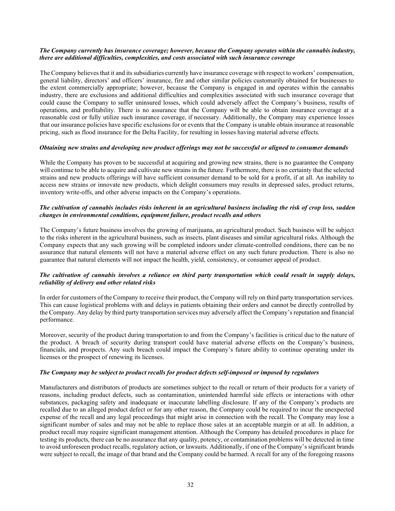#### *The Company currently has insurance coverage; however, because the Company operates within the cannabis industry, there are additional difficulties, complexities, and costs associated with such insurance coverage*

The Company believes that it and its subsidiaries currently have insurance coverage with respect to workers' compensation, general liability, directors' and officers' insurance, fire and other similar policies customarily obtained for businesses to the extent commercially appropriate; however, because the Company is engaged in and operates within the cannabis industry, there are exclusions and additional difficulties and complexities associated with such insurance coverage that could cause the Company to suffer uninsured losses, which could adversely affect the Company's business, results of operations, and profitability. There is no assurance that the Company will be able to obtain insurance coverage at a reasonable cost or fully utilize such insurance coverage, if necessary. Additionally, the Company may experience losses that our insurance policies have specific exclusions for or events that the Company is unable obtain insurance at reasonable pricing, such as flood insurance for the Delta Facility, for resulting in losses having material adverse effects.

#### *Obtaining new strains and developing new product offerings may not be successful or aligned to consumer demands*

While the Company has proven to be successful at acquiring and growing new strains, there is no guarantee the Company will continue to be able to acquire and cultivate new strains in the future. Furthermore, there is no certainty that the selected strains and new products offerings will have sufficient consumer demand to be sold for a profit, if at all. An inability to access new strains or innovate new products, which delight consumers may results in depressed sales, product returns, inventory write-offs, and other adverse impacts on the Company's operations.

#### *The cultivation of cannabis includes risks inherent in an agricultural business including the risk of crop loss, sudden changes in environmental conditions, equipment failure, product recalls and others*

The Company's future business involves the growing of marijuana, an agricultural product. Such business will be subject to the risks inherent in the agricultural business, such as insects, plant diseases and similar agricultural risks. Although the Company expects that any such growing will be completed indoors under climate-controlled conditions, there can be no assurance that natural elements will not have a material adverse effect on any such future production. There is also no guarantee that natural elements will not impact the health, yield, consistency, or consumer appeal of product.

#### *The cultivation of cannabis involves a reliance on third party transportation which could result in supply delays, reliability of delivery and other related risks*

In order for customers of the Company to receive their product, the Company will rely on third party transportation services. This can cause logistical problems with and delays in patients obtaining their orders and cannot be directly controlled by the Company. Any delay by third party transportation services may adversely affect the Company's reputation and financial performance.

Moreover, security of the product during transportation to and from the Company's facilities is critical due to the nature of the product. A breach of security during transport could have material adverse effects on the Company's business, financials, and prospects. Any such breach could impact the Company's future ability to continue operating under its licenses or the prospect of renewing its licenses.

#### *The Company may be subject to product recalls for product defects self-imposed or imposed by regulators*

Manufacturers and distributors of products are sometimes subject to the recall or return of their products for a variety of reasons, including product defects, such as contamination, unintended harmful side effects or interactions with other substances, packaging safety and inadequate or inaccurate labelling disclosure. If any of the Company's products are recalled due to an alleged product defect or for any other reason, the Company could be required to incur the unexpected expense of the recall and any legal proceedings that might arise in connection with the recall. The Company may lose a significant number of sales and may not be able to replace those sales at an acceptable margin or at all. In addition, a product recall may require significant management attention. Although the Company has detailed procedures in place for testing its products, there can be no assurance that any quality, potency, or contamination problems will be detected in time to avoid unforeseen product recalls, regulatory action, or lawsuits. Additionally, if one of the Company's significant brands were subject to recall, the image of that brand and the Company could be harmed. A recall for any of the foregoing reasons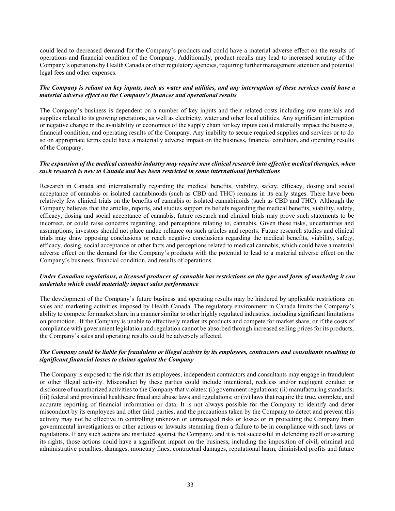could lead to decreased demand for the Company's products and could have a material adverse effect on the results of operations and financial condition of the Company. Additionally, product recalls may lead to increased scrutiny of the Company's operations by Health Canada or other regulatory agencies, requiring further management attention and potential legal fees and other expenses.

#### *The Company is reliant on key inputs, such as water and utilities, and any interruption of these services could have a material adverse effect on the Company's finances and operational results*

The Company's business is dependent on a number of key inputs and their related costs including raw materials and supplies related to its growing operations, as well as electricity, water and other local utilities. Any significant interruption or negative change in the availability or economics of the supply chain for key inputs could materially impact the business, financial condition, and operating results of the Company. Any inability to secure required supplies and services or to do so on appropriate terms could have a materially adverse impact on the business, financial condition, and operating results of the Company.

#### *The expansion of the medical cannabis industry may require new clinical research into effective medical therapies, when such research is new to Canada and has been restricted in some international jurisdictions*

Research in Canada and internationally regarding the medical benefits, viability, safety, efficacy, dosing and social acceptance of cannabis or isolated cannabinoids (such as CBD and THC) remains in its early stages. There have been relatively few clinical trials on the benefits of cannabis or isolated cannabinoids (such as CBD and THC). Although the Company believes that the articles, reports, and studies support its beliefs regarding the medical benefits, viability, safety, efficacy, dosing and social acceptance of cannabis, future research and clinical trials may prove such statements to be incorrect, or could raise concerns regarding, and perceptions relating to, cannabis. Given these risks, uncertainties and assumptions, investors should not place undue reliance on such articles and reports. Future research studies and clinical trials may draw opposing conclusions or reach negative conclusions regarding the medical benefits, viability, safety, efficacy, dosing, social acceptance or other facts and perceptions related to medical cannabis, which could have a material adverse effect on the demand for the Company's products with the potential to lead to a material adverse effect on the Company's business, financial condition, and results of operations.

#### *Under Canadian regulations, a licensed producer of cannabis has restrictions on the type and form of marketing it can undertake which could materially impact sales performance*

The development of the Company's future business and operating results may be hindered by applicable restrictions on sales and marketing activities imposed by Health Canada. The regulatory environment in Canada limits the Company's ability to compete for market share in a manner similar to other highly regulated industries, including significant limitations on promotion. If the Company is unable to effectively market its products and compete for market share, or if the costs of compliance with government legislation and regulation cannot be absorbed through increased selling prices for its products, the Company's sales and operating results could be adversely affected.

#### *The Company could be liable for fraudulent or illegal activity by its employees, contractors and consultants resulting in significant financial losses to claims against the Company*

The Company is exposed to the risk that its employees, independent contractors and consultants may engage in fraudulent or other illegal activity. Misconduct by these parties could include intentional, reckless and/or negligent conduct or disclosure of unauthorized activities to the Company that violates: (i) government regulations; (ii) manufacturing standards; (iii) federal and provincial healthcare fraud and abuse laws and regulations; or (iv) laws that require the true, complete, and accurate reporting of financial information or data. It is not always possible for the Company to identify and deter misconduct by its employees and other third parties, and the precautions taken by the Company to detect and prevent this activity may not be effective in controlling unknown or unmanaged risks or losses or in protecting the Company from governmental investigations or other actions or lawsuits stemming from a failure to be in compliance with such laws or regulations. If any such actions are instituted against the Company, and it is not successful in defending itself or asserting its rights, those actions could have a significant impact on the business, including the imposition of civil, criminal and administrative penalties, damages, monetary fines, contractual damages, reputational harm, diminished profits and future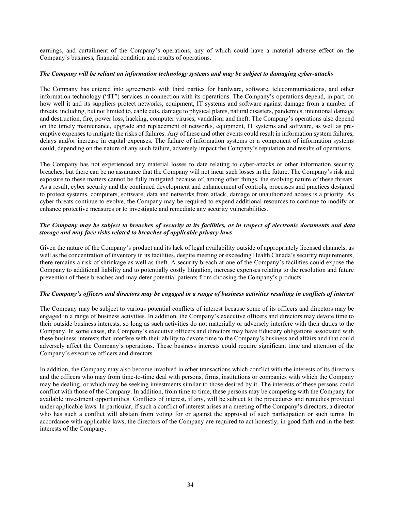earnings, and curtailment of the Company's operations, any of which could have a material adverse effect on the Company's business, financial condition and results of operations.

#### *The Company will be reliant on information technology systems and may be subject to damaging cyber-attacks*

The Company has entered into agreements with third parties for hardware, software, telecommunications, and other information technology ("**IT**") services in connection with its operations. The Company's operations depend, in part, on how well it and its suppliers protect networks, equipment, IT systems and software against damage from a number of threats, including, but not limited to, cable cuts, damage to physical plants, natural disasters, pandemics, intentional damage and destruction, fire, power loss, hacking, computer viruses, vandalism and theft. The Company's operations also depend on the timely maintenance, upgrade and replacement of networks, equipment, IT systems and software, as well as preemptive expenses to mitigate the risks of failures. Any of these and other events could result in information system failures, delays and/or increase in capital expenses. The failure of information systems or a component of information systems could, depending on the nature of any such failure, adversely impact the Company's reputation and results of operations.

The Company has not experienced any material losses to date relating to cyber-attacks or other information security breaches, but there can be no assurance that the Company will not incur such losses in the future. The Company's risk and exposure to these matters cannot be fully mitigated because of, among other things, the evolving nature of these threats. As a result, cyber security and the continued development and enhancement of controls, processes and practices designed to protect systems, computers, software, data and networks from attack, damage or unauthorized access is a priority. As cyber threats continue to evolve, the Company may be required to expend additional resources to continue to modify or enhance protective measures or to investigate and remediate any security vulnerabilities.

#### *The Company may be subject to breaches of security at its facilities, or in respect of electronic documents and data storage and may face risks related to breaches of applicable privacy laws*

Given the nature of the Company's product and its lack of legal availability outside of appropriately licensed channels, as well as the concentration of inventory in its facilities, despite meeting or exceeding Health Canada's security requirements, there remains a risk of shrinkage as well as theft. A security breach at one of the Company's facilities could expose the Company to additional liability and to potentially costly litigation, increase expenses relating to the resolution and future prevention of these breaches and may deter potential patients from choosing the Company's products.

#### *The Company's officers and directors may be engaged in a range of business activities resulting in conflicts of interest*

The Company may be subject to various potential conflicts of interest because some of its officers and directors may be engaged in a range of business activities. In addition, the Company's executive officers and directors may devote time to their outside business interests, so long as such activities do not materially or adversely interfere with their duties to the Company. In some cases, the Company's executive officers and directors may have fiduciary obligations associated with these business interests that interfere with their ability to devote time to the Company's business and affairs and that could adversely affect the Company's operations. These business interests could require significant time and attention of the Company's executive officers and directors.

In addition, the Company may also become involved in other transactions which conflict with the interests of its directors and the officers who may from time-to-time deal with persons, firms, institutions or companies with which the Company may be dealing, or which may be seeking investments similar to those desired by it. The interests of these persons could conflict with those of the Company. In addition, from time to time, these persons may be competing with the Company for available investment opportunities. Conflicts of interest, if any, will be subject to the procedures and remedies provided under applicable laws. In particular, if such a conflict of interest arises at a meeting of the Company's directors, a director who has such a conflict will abstain from voting for or against the approval of such participation or such terms. In accordance with applicable laws, the directors of the Company are required to act honestly, in good faith and in the best interests of the Company.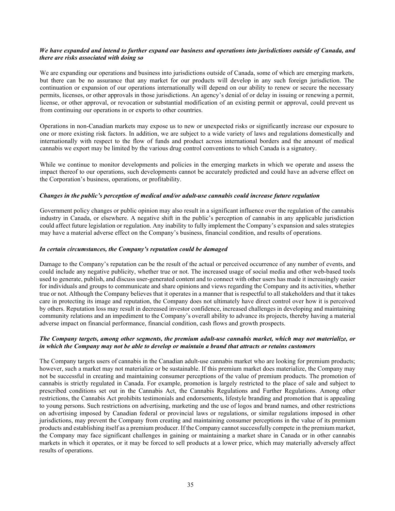#### *We have expanded and intend to further expand our business and operations into jurisdictions outside of Canada, and there are risks associated with doing so*

We are expanding our operations and business into jurisdictions outside of Canada, some of which are emerging markets, but there can be no assurance that any market for our products will develop in any such foreign jurisdiction. The continuation or expansion of our operations internationally will depend on our ability to renew or secure the necessary permits, licenses, or other approvals in those jurisdictions. An agency's denial of or delay in issuing or renewing a permit, license, or other approval, or revocation or substantial modification of an existing permit or approval, could prevent us from continuing our operations in or exports to other countries.

Operations in non-Canadian markets may expose us to new or unexpected risks or significantly increase our exposure to one or more existing risk factors. In addition, we are subject to a wide variety of laws and regulations domestically and internationally with respect to the flow of funds and product across international borders and the amount of medical cannabis we export may be limited by the various drug control conventions to which Canada is a signatory.

While we continue to monitor developments and policies in the emerging markets in which we operate and assess the impact thereof to our operations, such developments cannot be accurately predicted and could have an adverse effect on the Corporation's business, operations, or profitability.

#### *Changes in the public's perception of medical and/or adult-use cannabis could increase future regulation*

Government policy changes or public opinion may also result in a significant influence over the regulation of the cannabis industry in Canada, or elsewhere. A negative shift in the public's perception of cannabis in any applicable jurisdiction could affect future legislation or regulation. Any inability to fully implement the Company's expansion and sales strategies may have a material adverse effect on the Company's business, financial condition, and results of operations.

#### *In certain circumstances, the Company's reputation could be damaged*

Damage to the Company's reputation can be the result of the actual or perceived occurrence of any number of events, and could include any negative publicity, whether true or not. The increased usage of social media and other web-based tools used to generate, publish, and discuss user-generated content and to connect with other users has made it increasingly easier for individuals and groups to communicate and share opinions and views regarding the Company and its activities, whether true or not. Although the Company believes that it operates in a manner that is respectful to all stakeholders and that it takes care in protecting its image and reputation, the Company does not ultimately have direct control over how it is perceived by others. Reputation loss may result in decreased investor confidence, increased challenges in developing and maintaining community relations and an impediment to the Company's overall ability to advance its projects, thereby having a material adverse impact on financial performance, financial condition, cash flows and growth prospects.

#### *The Company targets, among other segments, the premium adult-use cannabis market, which may not materialize, or in which the Company may not be able to develop or maintain a brand that attracts or retains customers*

The Company targets users of cannabis in the Canadian adult-use cannabis market who are looking for premium products; however, such a market may not materialize or be sustainable. If this premium market does materialize, the Company may not be successful in creating and maintaining consumer perceptions of the value of premium products. The promotion of cannabis is strictly regulated in Canada. For example, promotion is largely restricted to the place of sale and subject to prescribed conditions set out in the Cannabis Act, the Cannabis Regulations and Further Regulations. Among other restrictions, the Cannabis Act prohibits testimonials and endorsements, lifestyle branding and promotion that is appealing to young persons. Such restrictions on advertising, marketing and the use of logos and brand names, and other restrictions on advertising imposed by Canadian federal or provincial laws or regulations, or similar regulations imposed in other jurisdictions, may prevent the Company from creating and maintaining consumer perceptions in the value of its premium products and establishing itself as a premium producer. If the Company cannot successfully compete in the premium market, the Company may face significant challenges in gaining or maintaining a market share in Canada or in other cannabis markets in which it operates, or it may be forced to sell products at a lower price, which may materially adversely affect results of operations.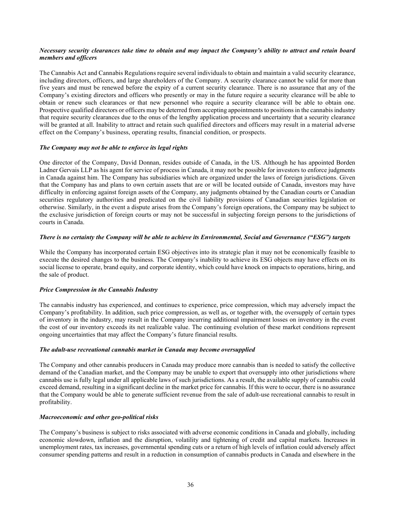#### *Necessary security clearances take time to obtain and may impact the Company's ability to attract and retain board members and officers*

The Cannabis Act and Cannabis Regulations require several individuals to obtain and maintain a valid security clearance, including directors, officers, and large shareholders of the Company. A security clearance cannot be valid for more than five years and must be renewed before the expiry of a current security clearance. There is no assurance that any of the Company's existing directors and officers who presently or may in the future require a security clearance will be able to obtain or renew such clearances or that new personnel who require a security clearance will be able to obtain one. Prospective qualified directors or officers may be deterred from accepting appointments to positions in the cannabis industry that require security clearances due to the onus of the lengthy application process and uncertainty that a security clearance will be granted at all. Inability to attract and retain such qualified directors and officers may result in a material adverse effect on the Company's business, operating results, financial condition, or prospects.

#### *The Company may not be able to enforce its legal rights*

One director of the Company, David Donnan, resides outside of Canada, in the US. Although he has appointed Borden Ladner Gervais LLP as his agent for service of process in Canada, it may not be possible for investors to enforce judgments in Canada against him. The Company has subsidiaries which are organized under the laws of foreign jurisdictions. Given that the Company has and plans to own certain assets that are or will be located outside of Canada, investors may have difficulty in enforcing against foreign assets of the Company, any judgments obtained by the Canadian courts or Canadian securities regulatory authorities and predicated on the civil liability provisions of Canadian securities legislation or otherwise. Similarly, in the event a dispute arises from the Company's foreign operations, the Company may be subject to the exclusive jurisdiction of foreign courts or may not be successful in subjecting foreign persons to the jurisdictions of courts in Canada.

#### *There is no certainty the Company will be able to achieve its Environmental, Social and Governance ("ESG") targets*

While the Company has incorporated certain ESG objectives into its strategic plan it may not be economically feasible to execute the desired changes to the business. The Company's inability to achieve its ESG objects may have effects on its social license to operate, brand equity, and corporate identity, which could have knock on impacts to operations, hiring, and the sale of product.

#### *Price Compression in the Cannabis Industry*

The cannabis industry has experienced, and continues to experience, price compression, which may adversely impact the Company's profitability. In addition, such price compression, as well as, or together with, the oversupply of certain types of inventory in the industry, may result in the Company incurring additional impairment losses on inventory in the event the cost of our inventory exceeds its net realizable value. The continuing evolution of these market conditions represent ongoing uncertainties that may affect the Company's future financial results.

#### *The adult-use recreational cannabis market in Canada may become oversupplied*

The Company and other cannabis producers in Canada may produce more cannabis than is needed to satisfy the collective demand of the Canadian market, and the Company may be unable to export that oversupply into other jurisdictions where cannabis use is fully legal under all applicable laws of such jurisdictions. As a result, the available supply of cannabis could exceed demand, resulting in a significant decline in the market price for cannabis. If this were to occur, there is no assurance that the Company would be able to generate sufficient revenue from the sale of adult-use recreational cannabis to result in profitability.

#### *Macroeconomic and other geo-political risks*

The Company's business is subject to risks associated with adverse economic conditions in Canada and globally, including economic slowdown, inflation and the disruption, volatility and tightening of credit and capital markets. Increases in unemployment rates, tax increases, governmental spending cuts or a return of high levels of inflation could adversely affect consumer spending patterns and result in a reduction in consumption of cannabis products in Canada and elsewhere in the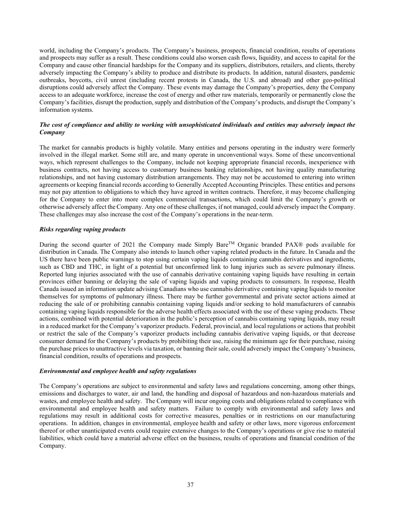world, including the Company's products. The Company's business, prospects, financial condition, results of operations and prospects may suffer as a result. These conditions could also worsen cash flows, liquidity, and access to capital for the Company and cause other financial hardships for the Company and its suppliers, distributors, retailers, and clients, thereby adversely impacting the Company's ability to produce and distribute its products. In addition, natural disasters, pandemic outbreaks, boycotts, civil unrest (including recent protests in Canada, the U.S. and abroad) and other geo-political disruptions could adversely affect the Company. These events may damage the Company's properties, deny the Company access to an adequate workforce, increase the cost of energy and other raw materials, temporarily or permanently close the Company's facilities, disrupt the production, supply and distribution of the Company's products, and disrupt the Company's information systems.

# *The cost of compliance and ability to working with unsophisticated individuals and entities may adversely impact the Company*

The market for cannabis products is highly volatile. Many entities and persons operating in the industry were formerly involved in the illegal market. Some still are, and many operate in unconventional ways. Some of these unconventional ways, which represent challenges to the Company, include not keeping appropriate financial records, inexperience with business contracts, not having access to customary business banking relationships, not having quality manufacturing relationships, and not having customary distribution arrangements. They may not be accustomed to entering into written agreements or keeping financial records according to Generally Accepted Accounting Principles. These entities and persons may not pay attention to obligations to which they have agreed in written contracts. Therefore, it may become challenging for the Company to enter into more complex commercial transactions, which could limit the Company's growth or otherwise adversely affect the Company. Any one of these challenges, if not managed, could adversely impact the Company. These challenges may also increase the cost of the Company's operations in the near-term.

#### *Risks regarding vaping products*

During the second quarter of 2021 the Company made Simply Bare™ Organic branded PAX® pods available for distribution in Canada. The Company also intends to launch other vaping related products in the future. In Canada and the US there have been public warnings to stop using certain vaping liquids containing cannabis derivatives and ingredients, such as CBD and THC, in light of a potential but unconfirmed link to lung injuries such as severe pulmonary illness. Reported lung injuries associated with the use of cannabis derivative containing vaping liquids have resulting in certain provinces either banning or delaying the sale of vaping liquids and vaping products to consumers. In response, Health Canada issued an information update advising Canadians who use cannabis derivative containing vaping liquids to monitor themselves for symptoms of pulmonary illness. There may be further governmental and private sector actions aimed at reducing the sale of or prohibiting cannabis containing vaping liquids and/or seeking to hold manufacturers of cannabis containing vaping liquids responsible for the adverse health effects associated with the use of these vaping products. These actions, combined with potential deterioration in the public's perception of cannabis containing vaping liquids, may result in a reduced market for the Company's vaporizer products. Federal, provincial, and local regulations or actions that prohibit or restrict the sale of the Company's vaporizer products including cannabis derivative vaping liquids, or that decrease consumer demand for the Company's products by prohibiting their use, raising the minimum age for their purchase, raising the purchase prices to unattractive levels via taxation, or banning their sale, could adversely impact the Company's business, financial condition, results of operations and prospects.

#### *Environmental and employee health and safety regulations*

The Company's operations are subject to environmental and safety laws and regulations concerning, among other things, emissions and discharges to water, air and land, the handling and disposal of hazardous and non-hazardous materials and wastes, and employee health and safety. The Company will incur ongoing costs and obligations related to compliance with environmental and employee health and safety matters. Failure to comply with environmental and safety laws and regulations may result in additional costs for corrective measures, penalties or in restrictions on our manufacturing operations. In addition, changes in environmental, employee health and safety or other laws, more vigorous enforcement thereof or other unanticipated events could require extensive changes to the Company's operations or give rise to material liabilities, which could have a material adverse effect on the business, results of operations and financial condition of the Company.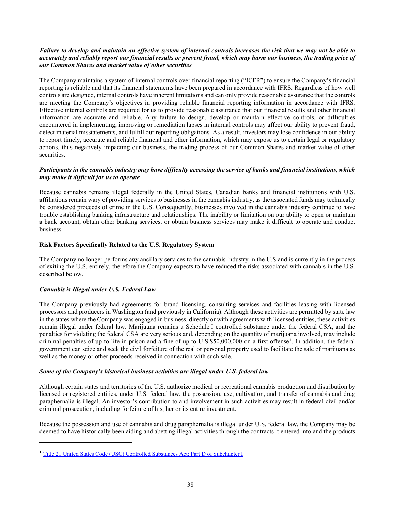# *Failure to develop and maintain an effective system of internal controls increases the risk that we may not be able to accurately and reliably report our financial results or prevent fraud, which may harm our business, the trading price of our Common Shares and market value of other securities*

The Company maintains a system of internal controls over financial reporting ("ICFR") to ensure the Company's financial reporting is reliable and that its financial statements have been prepared in accordance with IFRS. Regardless of how well controls are designed, internal controls have inherent limitations and can only provide reasonable assurance that the controls are meeting the Company's objectives in providing reliable financial reporting information in accordance with IFRS. Effective internal controls are required for us to provide reasonable assurance that our financial results and other financial information are accurate and reliable. Any failure to design, develop or maintain effective controls, or difficulties encountered in implementing, improving or remediation lapses in internal controls may affect our ability to prevent fraud, detect material misstatements, and fulfill our reporting obligations. As a result, investors may lose confidence in our ability to report timely, accurate and reliable financial and other information, which may expose us to certain legal or regulatory actions, thus negatively impacting our business, the trading process of our Common Shares and market value of other securities.

#### *Participants in the cannabis industry may have difficulty accessing the service of banks and financial institutions, which may make it difficult for us to operate*

Because cannabis remains illegal federally in the United States, Canadian banks and financial institutions with U.S. affiliations remain wary of providing services to businesses in the cannabis industry, as the associated funds may technically be considered proceeds of crime in the U.S. Consequently, businesses involved in the cannabis industry continue to have trouble establishing banking infrastructure and relationships. The inability or limitation on our ability to open or maintain a bank account, obtain other banking services, or obtain business services may make it difficult to operate and conduct business.

#### **Risk Factors Specifically Related to the U.S. Regulatory System**

The Company no longer performs any ancillary services to the cannabis industry in the U.S and is currently in the process of exiting the U.S. entirely, therefore the Company expects to have reduced the risks associated with cannabis in the U.S. described below.

# *Cannabis is Illegal under U.S. Federal Law*

The Company previously had agreements for brand licensing, consulting services and facilities leasing with licensed processors and producers in Washington (and previously in California). Although these activities are permitted by state law in the states where the Company was engaged in business, directly or with agreements with licensed entities, these activities remain illegal under federal law. Marijuana remains a Schedule I controlled substance under the federal CSA, and the penalties for violating the federal CSA are very serious and, depending on the quantity of marijuana involved, may include criminal penalties of up to life in prison and a fine of up to U.S.\$50,000,000 on a first offense<sup>[1](#page-39-0)</sup>. In addition, the federal government can seize and seek the civil forfeiture of the real or personal property used to facilitate the sale of marijuana as well as the money or other proceeds received in connection with such sale.

#### *Some of the Company's historical business activities are illegal under U.S. federal law*

Although certain states and territories of the U.S. authorize medical or recreational cannabis production and distribution by licensed or registered entities, under U.S. federal law, the possession, use, cultivation, and transfer of cannabis and drug paraphernalia is illegal. An investor's contribution to and involvement in such activities may result in federal civil and/or criminal prosecution, including forfeiture of his, her or its entire investment.

Because the possession and use of cannabis and drug paraphernalia is illegal under U.S. federal law, the Company may be deemed to have historically been aiding and abetting illegal activities through the contracts it entered into and the products

<span id="page-39-0"></span>**<sup>1</sup>** [Title 21 United States Code \(USC\) Controlled Substances Act; Part D of Subchapter I](https://www.deadiversion.usdoj.gov/21cfr/21usc/841.htm)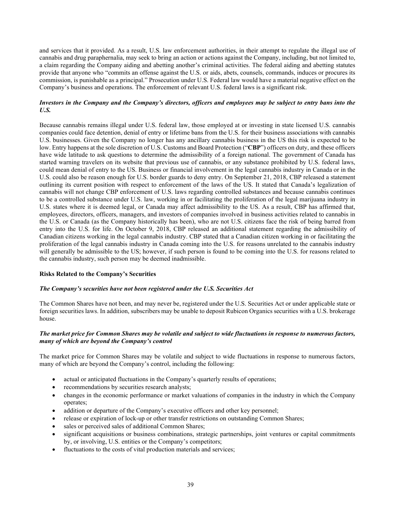and services that it provided. As a result, U.S. law enforcement authorities, in their attempt to regulate the illegal use of cannabis and drug paraphernalia, may seek to bring an action or actions against the Company, including, but not limited to, a claim regarding the Company aiding and abetting another's criminal activities. The federal aiding and abetting statutes provide that anyone who "commits an offense against the U.S. or aids, abets, counsels, commands, induces or procures its commission, is punishable as a principal." Prosecution under U.S. Federal law would have a material negative effect on the Company's business and operations. The enforcement of relevant U.S. federal laws is a significant risk.

#### *Investors in the Company and the Company's directors, officers and employees may be subject to entry bans into the U.S.*

Because cannabis remains illegal under U.S. federal law, those employed at or investing in state licensed U.S. cannabis companies could face detention, denial of entry or lifetime bans from the U.S. for their business associations with cannabis U.S. businesses. Given the Company no longer has any ancillary cannabis business in the US this risk is expected to be low. Entry happens at the sole discretion of U.S. Customs and Board Protection ("**CBP**") officers on duty, and these officers have wide latitude to ask questions to determine the admissibility of a foreign national. The government of Canada has started warning travelers on its website that previous use of cannabis, or any substance prohibited by U.S. federal laws, could mean denial of entry to the US. Business or financial involvement in the legal cannabis industry in Canada or in the U.S. could also be reason enough for U.S. border guards to deny entry. On September 21, 2018, CBP released a statement outlining its current position with respect to enforcement of the laws of the US. It stated that Canada's legalization of cannabis will not change CBP enforcement of U.S. laws regarding controlled substances and because cannabis continues to be a controlled substance under U.S. law, working in or facilitating the proliferation of the legal marijuana industry in U.S. states where it is deemed legal, or Canada may affect admissibility to the US. As a result, CBP has affirmed that, employees, directors, officers, managers, and investors of companies involved in business activities related to cannabis in the U.S. or Canada (as the Company historically has been), who are not U.S. citizens face the risk of being barred from entry into the U.S. for life. On October 9, 2018, CBP released an additional statement regarding the admissibility of Canadian citizens working in the legal cannabis industry. CBP stated that a Canadian citizen working in or facilitating the proliferation of the legal cannabis industry in Canada coming into the U.S. for reasons unrelated to the cannabis industry will generally be admissible to the US; however, if such person is found to be coming into the U.S. for reasons related to the cannabis industry, such person may be deemed inadmissible.

#### **Risks Related to the Company's Securities**

#### *The Company's securities have not been registered under the U.S. Securities Act*

The Common Shares have not been, and may never be, registered under the U.S. Securities Act or under applicable state or foreign securities laws. In addition, subscribers may be unable to deposit Rubicon Organics securities with a U.S. brokerage house.

#### *The market price for Common Shares may be volatile and subject to wide fluctuations in response to numerous factors, many of which are beyond the Company's control*

The market price for Common Shares may be volatile and subject to wide fluctuations in response to numerous factors, many of which are beyond the Company's control, including the following:

- actual or anticipated fluctuations in the Company's quarterly results of operations;
- recommendations by securities research analysts;
- changes in the economic performance or market valuations of companies in the industry in which the Company operates;
- addition or departure of the Company's executive officers and other key personnel;
- release or expiration of lock-up or other transfer restrictions on outstanding Common Shares;
- sales or perceived sales of additional Common Shares;
- significant acquisitions or business combinations, strategic partnerships, joint ventures or capital commitments by, or involving, U.S. entities or the Company's competitors;
- fluctuations to the costs of vital production materials and services;